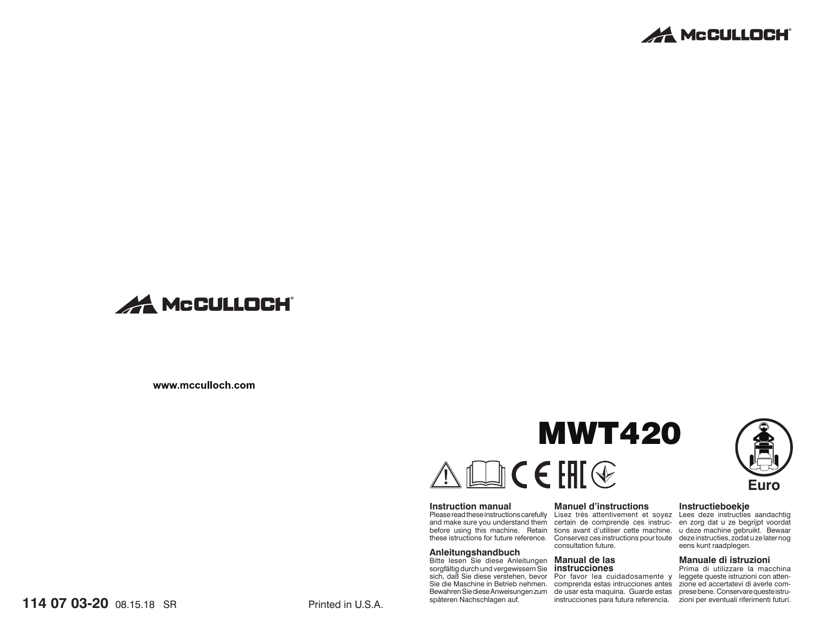



www.mcculloch.com

# **MWT420** $\mathbb{D}$ CEHI $\circledast$

### **Instruction manual**

and make sure you understand them certain de comprende ces instruc- en zorg dat u ze begrijpt voordat before using this machine. Retain tions avant d'utiliser cette machine. u deze machine gebruikt. Bewaar these istructions for future reference. Conservez ces instructions pour toute deze instructies, zodat u ze later nog

### **Anleitungshandbuch**

Bitte lesen Sie diese Anleitungen **Manual de las** sorgfältig durch und vergewissern Sie späteren Nachschlagen auf.

### **Manuel d'instructions**

Please read these instructions carefully Lisez très attentivement et soyez Lees deze instructies aandachtig consultation future.

# **instrucciones**

sich, daß Sie diese verstehen, bevor Por favor lea cuidadosamente y leggete queste istruzioni con atten-Sie die Maschine in Betrieb nehmen. comprenda estas intrucciones antes zione ed accertatevi di averle com-Bewahren Sie diese Anweisungen zum ade usar esta maquina. Guarde estas aprese bene. Conservare queste istruinstrucciones para futura referencia. zioni per eventuali riferimenti futuri.

# **Euro**

### **Instructieboekje**

eens kunt raadplegen.

### **Manuale di istruzioni**

Prima di utilizzare la macchina

**114 07 03-20** 08.15.18 SR Printed in U.S.A.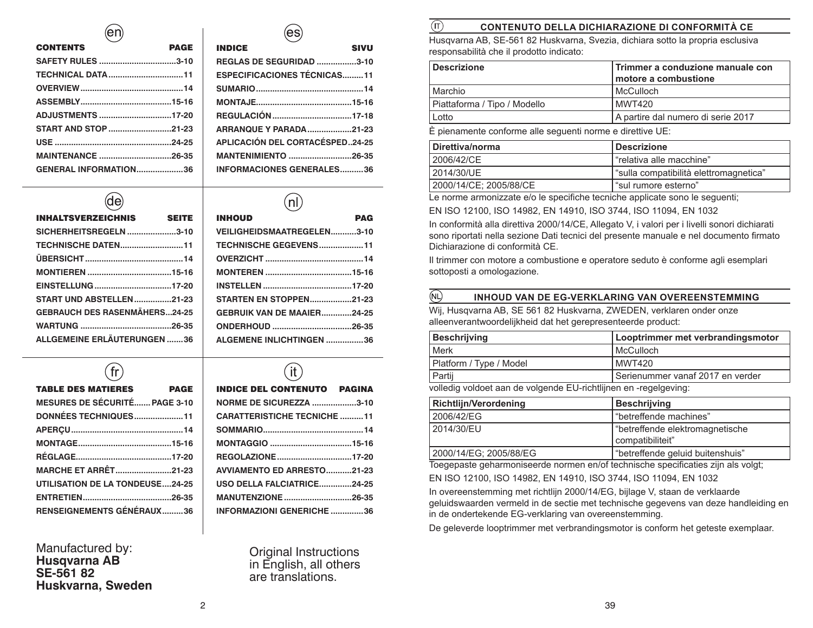# $(en)$

| <b>CONTENTS</b>          | <b>PAGE</b> |
|--------------------------|-------------|
| SAFETY RULES 3-10        |             |
|                          |             |
|                          |             |
|                          |             |
| ADJUSTMENTS 17-20        |             |
|                          |             |
|                          |             |
| <b>MAINTENANCE 26-35</b> |             |
| GENERAL INFORMATION36    |             |
|                          |             |

| <b>INDICE</b><br><b>SIVU</b>           |  |
|----------------------------------------|--|
| <b>REGLAS DE SEGURIDAD 3-10</b>        |  |
| <b>ESPECIFICACIONES TÉCNICAS11</b>     |  |
|                                        |  |
|                                        |  |
|                                        |  |
| <b>ARRANQUE Y PARADA21-23</b>          |  |
| <b>APLICACIÓN DEL CORTACÉSPED24-25</b> |  |
| <b>MANTENIMIENTO 26-35</b>             |  |
| <b>INFORMACIONES GENERALES36</b>       |  |

(es)

 $(de)$ 

| <b>INHALTSVERZEICHNIS</b>            | <b>SEITE</b> |
|--------------------------------------|--------------|
| SICHERHEITSREGELN3-10                |              |
| <b>TECHNISCHE DATEN11</b>            |              |
|                                      |              |
|                                      |              |
|                                      |              |
| <b>START UND ABSTELLEN21-23</b>      |              |
| <b>GEBRAUCH DES RASENMÄHERS24-25</b> |              |
|                                      |              |
| <b>ALLGEMEINE ERLÄUTERUNGEN 36</b>   |              |

| <b>INHOUD</b>                     | <b>PAG</b> |
|-----------------------------------|------------|
| <b>VEILIGHEIDSMAATREGELEN3-10</b> |            |
| <b>TECHNISCHE GEGEVENS11</b>      |            |
|                                   |            |
|                                   |            |
|                                   |            |
| <b>STARTEN EN STOPPEN21-23</b>    |            |
| <b>GEBRUIK VAN DE MAAIER24-25</b> |            |
|                                   |            |
| <b>ALGEMENE INLICHTINGEN 36</b>   |            |

 $\sqrt{\pi}$ 

| TABLE DES MATIERES PAGE                |  |
|----------------------------------------|--|
| <b>MESURES DE SÉCURITÉ PAGE 3-10</b>   |  |
| DONNÉES TECHNIQUES11                   |  |
|                                        |  |
|                                        |  |
|                                        |  |
| <b>MARCHE ET ARRÊT21-23</b>            |  |
| <b>UTILISATION DE LA TONDEUSE24-25</b> |  |
|                                        |  |
| <b>RENSEIGNEMENTS GÉNÉRAUX36</b>       |  |

Manufactured by: **Husqvarna AB SE-561 82Huskvarna, Sweden**

# $\hat{a}$ INDICE DEL CONTENUTO PAGINA

| <b>NORME DE SICUREZZA 3-10</b>     |
|------------------------------------|
| <b>CARATTERISTICHE TECNICHE 11</b> |
|                                    |
|                                    |
|                                    |
| <b>AVVIAMENTO ED ARRESTO21-23</b>  |
| USO DELLA FALCIATRICE24-25         |
| <b>MANUTENZIONE</b> 26-35          |
| <b>INFORMAZIONI GENERICHE 36</b>   |

Original Instructions in English, all others are translations.

### $(\overline{\Pi})$ **CONTENUTO DELLA DICHIARAZIONE DI CONFORMITÀ CE**

Husqvarna AB, SE-561 82 Huskvarna, Svezia, dichiara sotto la propria esclusiva responsabilità che il prodotto indicato:

| <b>Descrizione</b>           | Trimmer a conduzione manuale con<br>motore a combustione |
|------------------------------|----------------------------------------------------------|
| Marchio                      | l McCulloch                                              |
| Piattaforma / Tipo / Modello | MWT420                                                   |
| Lotto                        | l A partire dal numero di serie 2017                     |
|                              |                                                          |

È pienamente conforme alle seguenti norme e direttive UE:

| <b>Descrizione</b>                    |
|---------------------------------------|
| l "relativa alle macchine"            |
| sulla compatibilità elettromagnetica" |
| l "sul rumore esterno"                |
|                                       |

Le norme armonizzate e/o le specifiche tecniche applicate sono le seguenti;

EN ISO 12100, ISO 14982, EN 14910, ISO 3744, ISO 11094, EN 1032

In conformità alla direttiva 2000/14/CE, Allegato V, i valori per i livelli sonori dichiarati sono riportati nella sezione Dati tecnici del presente manuale e nel documento firmato Dichiarazione di conformità CE.

Il trimmer con motore a combustione e operatore seduto è conforme agli esemplari sottoposti a omologazione.

### $\binom{1}{N}$ **INHOUD VAN DE EG-VERKLARING VAN OVEREENSTEMMING**

Wij, Husqvarna AB, SE 561 82 Huskvarna, ZWEDEN, verklaren onder onze alleenverantwoordelijkheid dat het gerepresenteerde product:

| <b>Beschrijving</b>                                              | Looptrimmer met verbrandingsmotor  |
|------------------------------------------------------------------|------------------------------------|
| Merk                                                             | l McCulloch                        |
| Platform / Type / Model                                          | l MWT420                           |
| Partij                                                           | l Serienummer vanaf 2017 en verder |
| volledig voldoet aan de volgende EU-richtlijnen en -regelgeving: |                                    |

**Richtlijn/Verordening Beschrijving** 2006/42/EG "betreff ende machines" 2014/30/EU entertainmently in the elektromagnetische compatibiliteit" 2000/14/EG; 2005/88/EG | "betreffende geluid buitenshuis"

Toegepaste geharmoniseerde normen en/of technische specificaties zijn als volgt;

EN ISO 12100, ISO 14982, EN 14910, ISO 3744, ISO 11094, EN 1032

In overeenstemming met richtlijn 2000/14/EG, bijlage V, staan de verklaarde geluidswaarden vermeld in de sectie met technische gegevens van deze handleiding en in de ondertekende EG-verklaring van overeenstemming.

De geleverde looptrimmer met verbrandingsmotor is conform het geteste exemplaar.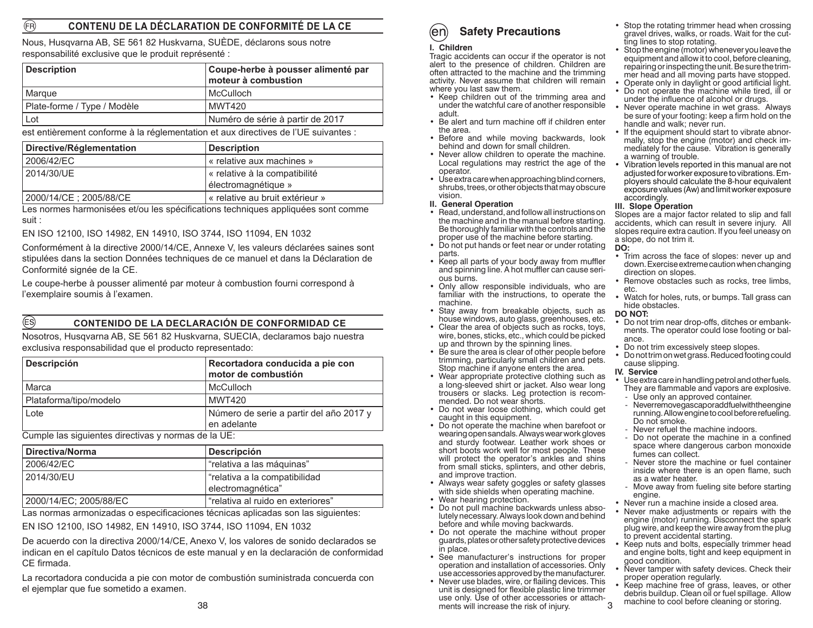### (FR) **CONTENU DE LA DÉCLARATION DE CONFORMITÉ DE LA CE**

Nous, Husqvarna AB, SE 561 82 Huskvarna, SUÈDE, déclarons sous notre responsabilité exclusive que le produit représenté :

| <b>Description</b>          | Coupe-herbe à pousser alimenté par<br>moteur à combustion |
|-----------------------------|-----------------------------------------------------------|
| l Marque                    | <b>McCulloch</b>                                          |
| Plate-forme / Type / Modèle | MWT420                                                    |
| Lot                         | Numéro de série à partir de 2017                          |

est entièrement conforme à la réglementation et aux directives de l'UE suivantes :

| Directive/Réglementation | <b>Description</b>                                   |
|--------------------------|------------------------------------------------------|
| 2006/42/EC               | « relative aux machines »                            |
| 2014/30/UE               | « relative à la compatibilité<br>électromagnétique » |
| 2000/14/CE : 2005/88/CE  | « relative au bruit extérieur »                      |

Les normes harmonisées et/ou les spécifications techniques appliquées sont comme suit :

EN ISO 12100, ISO 14982, EN 14910, ISO 3744, ISO 11094, EN 1032

Conformément à la directive 2000/14/CE, Annexe V, les valeurs déclarées saines sont stipulées dans la section Données techniques de ce manuel et dans la Déclaration de Conformité signée de la CE.

Le coupe-herbe à pousser alimenté par moteur à combustion fourni correspond à l'exemplaire soumis à l'examen.

# **CONTENIDO DE LA DECLARACIÓN DE CONFORMIDAD CE**

Nosotros, Husqvarna AB, SE 561 82 Huskvarna, SUECIA, declaramos bajo nuestra exclusiva responsabilidad que el producto representado:

| <b>Descripción</b>     | Recortadora conducida a pie con<br>motor de combustión |
|------------------------|--------------------------------------------------------|
| Marca                  | McCulloch                                              |
| Plataforma/tipo/modelo | MWT420                                                 |
| Lote                   | Número de serie a partir del año 2017 y<br>en adelante |

Cumple las siguientes directivas y normas de la UE:

(ES)

| Directiva/Norma        | <b>Descripción</b>                |  |
|------------------------|-----------------------------------|--|
| 2006/42/EC             | "relativa a las máquinas"         |  |
| 2014/30/EU             | frelativa a la compatibilidad     |  |
|                        | electromagnética"                 |  |
| 2000/14/EC; 2005/88/EC | "relativa al ruido en exteriores" |  |

Las normas armonizadas o especificaciones técnicas aplicadas son las siguientes:

EN ISO 12100, ISO 14982, EN 14910, ISO 3744, ISO 11094, EN 1032

De acuerdo con la directiva 2000/14/CE, Anexo V, los valores de sonido declarados se indican en el capítulo Datos técnicos de este manual y en la declaración de conformidad CE firmada.

La recortadora conducida a pie con motor de combustión suministrada concuerda con el ejemplar que fue sometido a examen.

### **I. Children**

 Tragic accidents can occur if the operator is not alert to the presence of children. Children are often attracted to the machine and the trimming activity. Never assume that children will remain where you last saw them.

- Keep children out of the trimming area and under the watchful care of another responsible adult.
- Be alert and turn machine off if children enter the area.
- Before and while moving backwards, look behind and down for small children.
- Never allow children to operate the machine. Local regulations may restrict the age of the operator.
- Use extra care when approaching blind corners, shrubs, trees, or other objects that may obscure vision.
- **II. General Operation**
- Read, understand, and follow all instructions on the machine and in the manual before starting. Be thoroughly familiar with the controls and the proper use of the machine before starting.
- Do not put hands or feet near or under rotating parts.
- Keep all parts of your body away from muffler and spinning line. A hot muffler can cause serious burns.
- Only allow responsible individuals, who are familiar with the instructions, to operate the machine.
- Stay away from breakable objects, such as house windows, auto glass, greenhouses, etc.
- Clear the area of objects such as rocks, toys, wire, bones, sticks, etc., which could be picked up and thrown by the spinning lines.
- Be sure the area is clear of other people before trimming, particularly small children and pets. Stop machine if anyone enters the area.
- Wear appropriate protective clothing such as a long-sleeved shirt or jacket. Also wear long trousers or slacks. Leg protection is recommended. Do not wear shorts.
- Do not wear loose clothing, which could get caught in this equipment.
- Do not operate the machine when barefoot or wearing open sandals. Always wear work gloves and sturdy footwear. Leather work shoes or short boots work well for most people. These will protect the operator's ankles and shins from small sticks, splinters, and other debris, and improve traction.
- Always wear safety goggles or safety glasses with side shields when operating machine.
- Wear hearing protection.
- Do not pull machine backwards unless absolutely necessary. Always look down and behind before and while moving backwards.
- Do not operate the machine without proper guards, plates or other safety protective devices in place.
- See manufacturer's instructions for proper operation and installation of accessories. Only use accessories approved by the manufacturer.
- 3• Never use blades, wire, or flailing devices. This unit is designed for flexible plastic line trimmer use only. Use of other accessories or attachments will increase the risk of injury.
- Stop the rotating trimmer head when crossing gravel drives, walks, or roads. Wait for the cutting lines to stop rotating.
- Stop the engine (motor) whenever you leave the equipment and allow it to cool, before cleaning, repairing or inspecting the unit. Be sure the trimmer head and all moving parts have stopped.
- Operate only in daylight or good artificial light.
	- Do not operate the machine while tired, ill or under the influence of alcohol or drugs.
	- Never operate machine in wet grass. Always be sure of your footing: keep a firm hold on the handle and walk; never run.
	- If the equipment should start to vibrate abnormally, stop the engine (motor) and check immediately for the cause. Vibration is generally a warning of trouble.
	- Vibration levels reported in this manual are not adjusted for worker exposure to vibrations. Employers should calculate the 8-hour equivalent exposure values (Aw) and limit worker exposure accordingly.

### **III. Slope Operation**

Slopes are a major factor related to slip and fall accidents, which can result in severe injury. All slopes require extra caution. If you feel uneasy on a slope, do not trim it.

### **DO:**

- Trim across the face of slopes: never up and down. Exercise extreme caution when changing direction on slopes.
- Remove obstacles such as rocks, tree limbs, etc.
- Watch for holes, ruts, or bumps. Tall grass can hide obstacles.

### **DO NOT:**

- Do not trim near drop-offs, ditches or embankments. The operator could lose footing or balance.
- Do not trim excessively steep slopes.
- Do not trim on wet grass. Reduced footing could cause slipping.

### **IV. Service**

- Use extra care in handling petrol and other fuels. They are flammable and vapors are explosive.
- Use only an approved container.
- Neverremovegas caporadd fuel with the engine running. Allow engine to cool before refueling. Do not smoke.
- Never refuel the machine indoors.
- Do not operate the machine in a confined space where dangerous carbon monoxide fumes can collect.
- Never store the machine or fuel container inside where there is an open flame, such as a water heater.
- Move away from fueling site before starting engine.
- Never run a machine inside a closed area.
- Never make adjustments or repairs with the engine (motor) running. Disconnect the spark plug wire, and keep the wire away from the plug to prevent accidental starting.
- Keep nuts and bolts, especially trimmer head and engine bolts, tight and keep equipment in good condition.
- Never tamper with safety devices. Check their proper operation regularly.
- Keep machine free of grass, leaves, or other debris buildup. Clean oil or fuel spillage. Allow machine to cool before cleaning or storing.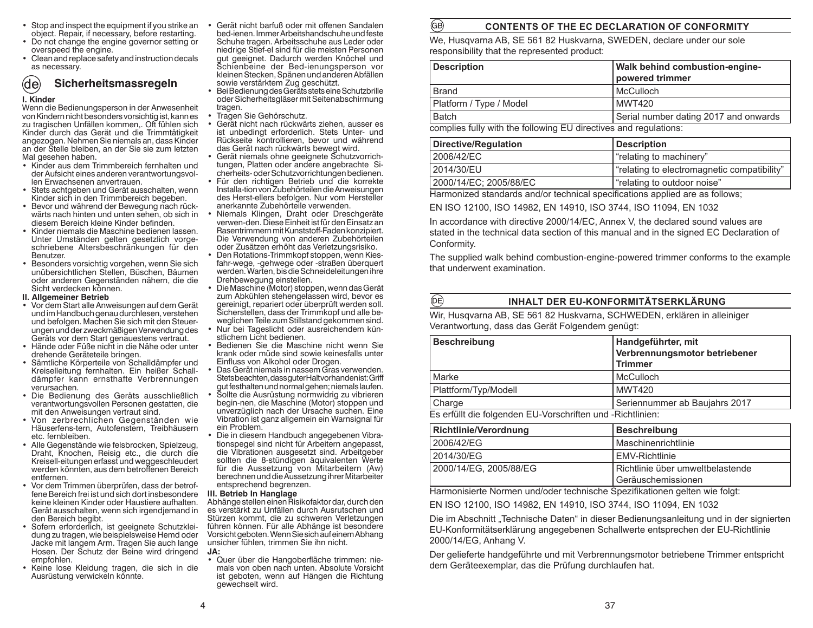- Stop and inspect the equipment if you strike an object. Repair, if necessary, before restarting.
- Do not change the engine governor setting or overspeed the engine.
- Clean and replace safety and instruction decals as necessary.

### (de) **Sicherheitsmassregeln**

### **I. Kinder**

 Wenn die Bedienungsperson in der Anwesenheit von Kindern nicht besonders vorsichtig ist, kann es zu tragischen Unfällen kommen,. Oft fühlen sich Kinder durch das Gerät und die Trimmtätigkeit angezogen. Nehmen Sie niemals an, dass Kinder an der Stelle bleiben, an der Sie sie zum letzten Mal gesehen haben.

- Kinder aus dem Trimmbereich fernhalten und der Aufsicht eines anderen verantwortungsvollen Erwachsenen anvertrauen.
- Stets achtgeben und Gerät ausschalten, wenn Kinder sich in den Trimmbereich begeben.
- Bevor und während der Bewegung nach rückwärts nach hinten und unten sehen, ob sich in diesem Bereich kleine Kinder befinden.
- Kinder niemals die Maschine bedienen lassen. Unter Umständen gelten gesetzlich vorgeschriebene Altersbeschränkungen für den Benutzer.
- Besonders vorsichtig vorgehen, wenn Sie sich unübersichtlichen Stellen, Büschen, Bäumen oder anderen Gegenständen nähern, die die Sicht verdecken können.

### **II. Allgemeiner Betrieb**

- Vor dem Start alle Anweisungen auf dem Gerät und im Handbuch genau durchlesen, verstehen und befolgen. Machen Sie sich mit den Steuerungen und der zweckmäßigen Verwendung des Geräts vor dem Start genauestens vertraut.
- Hände oder Füße nicht in die Nähe oder unter drehende Geräteteile bringen.
- Sämtliche Körperteile von Schalldämpfer und Kreiselleitung fernhalten. Ein heißer Schalldämpfer kann ernsthafte Verbrennungen verursachen.
- Die Bedienung des Geräts ausschließlich verantwortungsvollen Personen gestatten, die mit den Anweisungen vertraut sind.
- Von zerbrechlichen Gegenständen wie Häuserfens-tern, Autofenstern, Treibhäusern etc. fernbleiben.
- Alle Gegenstände wie felsbrocken, Spielzeug, Draht, Knochen, Reisig etc., die durch die Kreisell-eitungen erfasst und weggeschleudert werden könnten, aus dem betroffenen Bereich entfernen.
- Vor dem Trimmen überprüfen, dass der betroffene Bereich frei ist und sich dort insbesondere keine kleinen Kinder oder Haustiere aufhalten. Gerät ausschalten, wenn sich irgendjemand in den Bereich begibt.
- Sofern erforderlich, ist geeignete Schutzkleidung zu tragen, wie beispielsweise Hemd oder Jacke mit langem Arm. Tragen Sie auch lange Hosen. Der Schutz der Beine wird dringend empfohlen.
- Keine lose Kleidung tragen, die sich in die Ausrüstung verwickeln könnte.

• Gerät nicht barfuß oder mit offenen Sandalen bed-ienen. Immer Arbeitshandschuhe und feste Schuhe tragen. Arbeitsschuhe aus Leder oder niedrige Stief-el sind für die meisten Personen gut geeignet. Dadurch werden Knöchel und Schienbeine der Bed-ienungsperson vor kleinen Stecken, Spänen und anderen Abfällen sowie verstärktem Zug geschützt.

GB)

 $(DE)$ 

- Bei Bedienung des Geräts stets eine Schutzbrille oder Sicherheitsgläser mit Seitenabschirmung tragen.
- Tragen Sie Gehörschutz.
- Gerät nicht nach rückwärts ziehen, ausser es ist unbedingt erforderlich. Stets Unter- und Rückseite kontrollieren, bevor und während das Gerät nach rückwärts bewegt wird.
- Gerät niemals ohne geeignete Schutzvorrichtungen, Platten oder andere angebrachte Sicherheits- oder Schutzvorrichtungen bedienen.
- Für den richtigen Betrieb und die korrekte Installa-tion von Zubehörteilen die Anweisungen des Herst-ellers befolgen. Nur vom Hersteller anerkannte Zubehörteile verwenden.
- Niemals Klingen, Draht oder Dreschgeräte verwen-den. Diese Einheit ist für den Einsatz an Rasentrimmern mit Kunststoff-Faden konzipiert. Die Verwendung von anderen Zubehörteilen oder Zusätzen erhöht das Verletzungsrisiko.
- Den Rotations-Trimmkopf stoppen, wenn Kiesfahr-wege, -gehwege oder -straßen überquert werden. Warten, bis die Schneideleitungen ihre Drehbewegung einstellen.
- Die Maschine (Motor) stoppen, wenn das Gerät zum Abkühlen stehengelassen wird, bevor es gereinigt, repariert oder überprüft werden soll. Sicherstellen, dass der Trimmkopf und alle beweglichen Teile zum Stillstand gekommen sind. • Nur bei Tageslicht oder ausreichendem kün-
- stlichem Licht bedienen. • Bedienen Sie die Maschine nicht wenn Sie krank oder müde sind sowie keinesfalls unter Einfluss von Alkohol oder Drogen.
- Das Gerät niemals in nassem Gras verwenden. Stets beachten, dass guter Halt vorhanden ist: Griff gut festhalten und normal gehen; niemals laufen.
- Sollte die Ausrüstung normwidrig zu vibrieren begin-nen, die Maschine (Motor) stoppen und unverzüglich nach der Ursache suchen. Eine Vibration ist ganz allgemein ein Warnsignal für ein Problem.
- Die in diesem Handbuch angegebenen Vibrationspegel sind nicht für Arbeitern angepasst, die Vibrationen ausgesetzt sind. Arbeitgeber sollten die 8-stündigen äquivalenten Werte für die Aussetzung von Mitarbeitern (Aw) berechnen und die Aussetzung ihrer Mitarbeiter entsprechend begrenzen.

**III. Betrieb In Hanglage** Abhänge stellen einen Risikofaktor dar, durch den es verstärkt zu Unfällen durch Ausrutschen und Stürzen kommt, die zu schweren Verletzungen führen können. Für alle Abhänge ist besondere Vorsicht geboten. Wenn Sie sich auf einem Abhang unsicher fühlen, trimmen Sie ihn nicht. **JA:**

 • Quer über die Hangoberfläche trimmen: niemals von oben nach unten. Absolute Vorsicht ist geboten, wenn auf Hängen die Richtung gewechselt wird.

# **CONTENTS OF THE EC DECLARATION OF CONFORMITY**

We, Husqvarna AB, SE 561 82 Huskvarna, SWEDEN, declare under our sole responsibility that the represented product:

| <b>Description</b>                                               | <b>Walk behind combustion-engine-</b><br>powered trimmer |  |  |  |  |
|------------------------------------------------------------------|----------------------------------------------------------|--|--|--|--|
| <b>Brand</b>                                                     | l McCulloch                                              |  |  |  |  |
| Platform / Type / Model                                          | MWT420                                                   |  |  |  |  |
| Batch                                                            | Serial number dating 2017 and onwards                    |  |  |  |  |
| complies fully with the following EU directives and regulations: |                                                          |  |  |  |  |

| Directive/Regulation   | Description                                 |
|------------------------|---------------------------------------------|
| 2006/42/EC             | "relating to machinery"                     |
| 2014/30/EU             | "relating to electromagnetic compatibility" |
| 2000/14/EC; 2005/88/EC | "relating to outdoor noise"                 |

Harmonized standards and/or technical specifications applied are as follows;

EN ISO 12100, ISO 14982, EN 14910, ISO 3744, ISO 11094, EN 1032

In accordance with directive 2000/14/EC, Annex V, the declared sound values are stated in the technical data section of this manual and in the signed EC Declaration of Conformity.

The supplied walk behind combustion-engine-powered trimmer conforms to the example that underwent examination.

# **INHALT DER EU-KONFORMITÄTSERKLÄRUNG**

Wir, Husqvarna AB, SE 561 82 Huskvarna, SCHWEDEN, erklären in alleiniger Verantwortung, dass das Gerät Folgendem genügt:

| <b>Beschreibung</b>                                        | Handgeführter, mit            |  |  |  |
|------------------------------------------------------------|-------------------------------|--|--|--|
|                                                            | Verbrennungsmotor betriebener |  |  |  |
|                                                            | <b>Trimmer</b>                |  |  |  |
| Marke                                                      | McCulloch                     |  |  |  |
| Plattform/Typ/Modell                                       | <b>MWT420</b>                 |  |  |  |
| Charge                                                     | Seriennummer ab Baujahrs 2017 |  |  |  |
| Es erfüllt die folgenden EU-Vorschriften und -Richtlinien: |                               |  |  |  |

| Richtlinie/Verordnung  | <b>Beschreibung</b>                                        |
|------------------------|------------------------------------------------------------|
| 2006/42/EG             | l Maschinenrichtlinie                                      |
| 2014/30/EG             | l EMV-Richtlinie                                           |
| 2000/14/EG. 2005/88/EG | l Richtlinie über umweltbelastende<br>l Geräuschemissionen |

Harmonisierte Normen und/oder technische Spezifikationen gelten wie folgt:

EN ISO 12100, ISO 14982, EN 14910, ISO 3744, ISO 11094, EN 1032

Die im Abschnitt "Technische Daten" in dieser Bedienungsanleitung und in der signierten EU-Konformitätserklärung angegebenen Schallwerte entsprechen der EU-Richtlinie 2000/14/EG, Anhang V.

Der gelieferte handgeführte und mit Verbrennungsmotor betriebene Trimmer entspricht dem Geräteexemplar, das die Prüfung durchlaufen hat.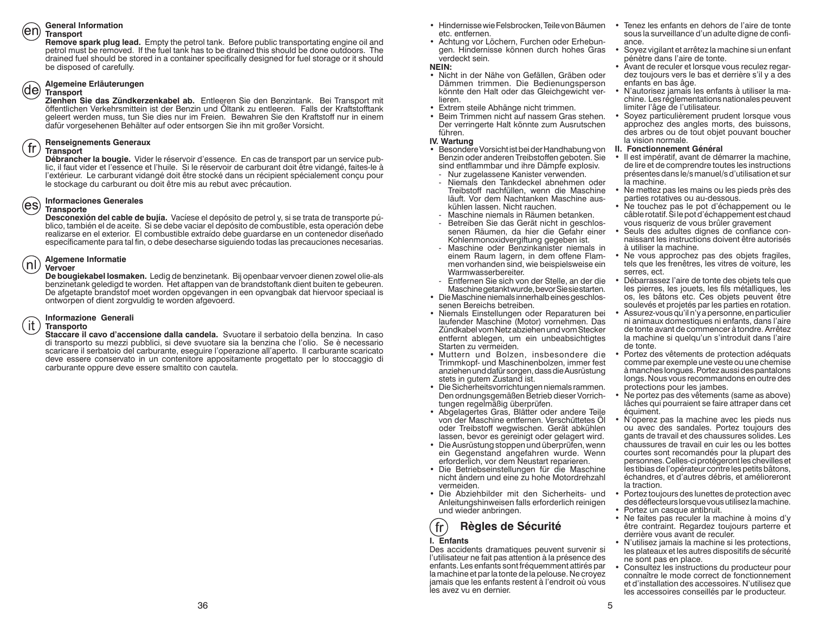### **General Information**

### **Transport**

**Remove spark plug lead.** Empty the petrol tank. Before public transportating engine oil and petrol must be removed. If the fuel tank has to be drained this should be done outdoors. The drained fuel should be stored in a container specifically designed for fuel storage or it should be disposed of carefully.

### **Algemeine Erläuterungen**

### (de) **Transport**

Zienhen Sie das Zündkerzenkabel ab. Entleeren Sie den Benzintank. Bei Transport mit öffentlichen Verkehrsmittein ist der Benzin und Oltank zu entleeren. Falls der Kraftstofftank geleert werden muss, tun Sie dies nur im Freien. Bewahren Sie den Kraftstoff nur in einem dafür vorgesehenen Behälter auf oder entsorgen Sie ihn mit großer Vorsicht.

### **Renseignements Generaux**

### $\int$  fr **Transport**

**Débrancher la bougie.** Vider le réservoir d'essence. En cas de transport par un service public, il faut vider et l'essence et l'huile. Si le réservoir de carburant doit être vidangé, faites-le à l'extérieur. Le carburant vidangé doit être stocké dans un récipient spécialement conçu pour le stockage du carburant ou doit être mis au rebut avec précaution.

### **Informaciones Generales**

### **Transporte**

**Desconexión del cable de bujía.** Vacíese el depósito de petrol y, si se trata de transporte público, también el de aceite. Si se debe vaciar el depósito de combustible, esta operación debe realizarse en el exterior. El combustible extraído debe guardarse en un contenedor diseñado específicamente para tal fin, o debe desecharse siguiendo todas las precauciones necesarias.

### **Algemene Informatie**

### $(n!)$ **Vervoer**

 **De bougiekabel losmaken.** Ledig de benzinetank. Bij openbaar vervoer dienen zowel olie-als benzinetank geledigd te worden. Het aftappen van de brandstoftank dient buiten te gebeuren. De afgetapte brandstof moet worden opgevangen in een opvangbak dat hiervoor speciaal is ontworpen of dient zorgvuldig te worden afgevoerd.

### **Informazione Generali**

### it. **Transporto**

**Staccare il cavo d'accensione dalla candela.** Svuotare il serbatoio della benzina. In caso di transporto su mezzi pubblici, si deve svuotare sia la benzina che l'olio. Se è necessario scaricare il serbatoio del carburante, eseguire l'operazione all'aperto. Il carburante scaricato deve essere conservato in un contenitore appositamente progettato per lo stoccaggio di carburante oppure deve essere smaltito con cautela.

- Hindernisse wie Felsbrocken, Teile von Bäumen Tenez les enfants en dehors de l'aire de tonte etc. entfernen.
- Achtung vor Löchern, Furchen oder Erhebungen. Hindernisse können durch hohes Gras verdeckt sein.

### **NEIN:**

- Nicht in der Nähe von Gefällen, Gräben oder Dämmen trimmen. Die Bedienungsperson könnte den Halt oder das Gleichgewicht verlieren.
- Extrem steile Abhänge nicht trimmen.
- Beim Trimmen nicht auf nassem Gras stehen. Der verringerte Halt könnte zum Ausrutschen führen.

### **IV. Wartung**

- Besondere Vorsicht ist bei der Handhabung von Benzin oder anderen Treibstoffen geboten. Sie sind entflammbar und ihre Dämpfe explosiv.
- Nur zugelassene Kanister verwenden.<br>- Niemals den Tankdeckel abnehmen
- Niemals den Tankdeckel abnehmen oder Treibstoff nachfüllen, wenn die Maschine läuft. Vor dem Nachtanken Maschine auskühlen lassen. Nicht rauchen.
- Maschine niemals in Räumen betanken.
- Betreiben Sie das Gerät nicht in geschlossenen Räumen, da hier die Gefahr einer Kohlenmonoxidvergiftung gegeben ist.
- Maschine oder Benzinkanister niemals in einem Raum lagern, in dem offene Flammen vorhanden sind, wie beispielsweise ein Warmwasserbereiter.
- Entfernen Sie sich von der Stelle, an der die Maschine getankt wurde, bevor Sie sie starten.
- Die Maschine niemals innerhalb eines geschlossenen Bereichs betreiben.
- Niemals Einstellungen oder Reparaturen bei laufender Maschine (Motor) vornehmen. Das Zündkabel vom Netz abziehen und vom Stecker entfernt ablegen, um ein unbeabsichtigtes Starten zu vermeiden.
- Muttern und Bolzen, insbesondere die Trimmkopf- und Maschinenbolzen, immer fest anziehen und dafür sorgen, dass die Ausrüstung stets in gutem Zustand ist.
- Die Sicherheitsvorrichtungen niemals rammen. Den ordnungsgemäßen Betrieb dieser Vorrichtungen regelmäßig überprüfen.
- Abgelagertes Gras, Blätter oder andere Teile von der Maschine entfernen. Verschüttetes Öl oder Treibstoff wegwischen. Gerät abkühlen lassen, bevor es gereinigt oder gelagert wird.
- Die Ausrüstung stoppen und überprüfen, wenn ein Gegenstand angefahren wurde. Wenn erforderlich, vor dem Neustart reparieren.
- Die Betriebseinstellungen für die Maschine nicht ändern und eine zu hohe Motordrehzahl vermeiden.
- Die Abziehbilder mit den Sicherheits- und Anleitungshinweisen falls erforderlich reinigen und wieder anbringen.

### $^{\prime}$  fr $^{\prime}$ **Règles de Sécurité I. Enfants**

 Des accidents dramatiques peuvent survenir si l'utilisateur ne fait pas attention à la présence des enfants. Les enfants sont fréquemment attirés par la machine et par la tonte de la pelouse. Ne croyez jamais que les enfants restent à l'endroit où vous les avez vu en dernier.

- sous la surveillance d'un adulte digne de confiance.
- Soyez vigilant et arrêtez la machine si un enfant pénètre dans l'aire de tonte.
- Avant de reculer et lorsque vous reculez regardez toujours vers le bas et derrière s'il y a des enfants en bas âge.
- N'autorisez jamais les enfants à utiliser la machine. Les réglementations nationales peuvent limiter l'âge de l'utilisateur.
- Soyez particulièrement prudent lorsque vous approchez des angles morts, des buissons, des arbres ou de tout objet pouvant boucher la vision normale.

### **II. Fonctionnement Général**

- Il est impératif, avant de démarrer la machine, de lire et de comprendre toutes les instructions présentes dans le/s manuel/s d'utilisation et sur la machine.
- Ne mettez pas les mains ou les pieds près des parties rotatives ou au-dessous.
- Ne touchez pas le pot d'échappement ou le câble rotatif. Si le pot d'échappement est chaud vous risqueriz de vous brûler gravement
- Seuls des adultes dignes de confiance connaissant les instructions doivent être autorisés à utiliser la machine.
- Ne vous approchez pas des objets fragiles, tels que les frenêtres, les vitres de voiture, les serres, ect.
- Débarrassez l'aire de tonte des objets tels que les pierres, les jouets, les fils métalliques, les os, les bâtons etc. Ces objets peuvent être soulevés et projetés par les parties en rotation.
- Assurez-vous qu'il n'y a personne, en particulier ni animaux domestiques ni enfants, dans l'aire de tonte avant de commencer à tondre. Arrêtez la machine si quelqu'un s'introduit dans l'aire de tonte.
- Portez des vêtements de protection adéquats comme par exemple une veste ou une chemise à manches longues. Portez aussi des pantalons longs. Nous vous recommandons en outre des protections pour les jambes.
- Ne portez pas des vêtements (same as above) lâches qui pourraient se faire attraper dans cet équiment.
- N'operez pas la machine avec les pieds nus ou avec des sandales. Portez toujours des gants de travail et des chaussures solides. Les chaussures de travail en cuir les ou les bottes courtes sont recomandés pour la plupart des personnes. Celles-ci protégeront les chevilles et les tibias de l'opérateur contre les petits bâtons, échandres, et d'autres débris, et amélioreront la traction.
- Portez toujours des lunettes de protection avec des déflecteurs lorsque vous utilisez la machine. **•** Portez un casque antibruit.
- 
- Ne faites pas reculer la machine à moins d'y être contraint. Regardez toujours parterre et derrière vous avant de reculer.
- N'utilisez jamais la machine si les protections, les plateaux et les autres dispositifs de sécurité ne sont pas en place.
- Consultez les instructions du producteur pour connaître le mode correct de fonctionnement et d'installation des accessoires. N'utilisez que les accessoires conseillés par le producteur.

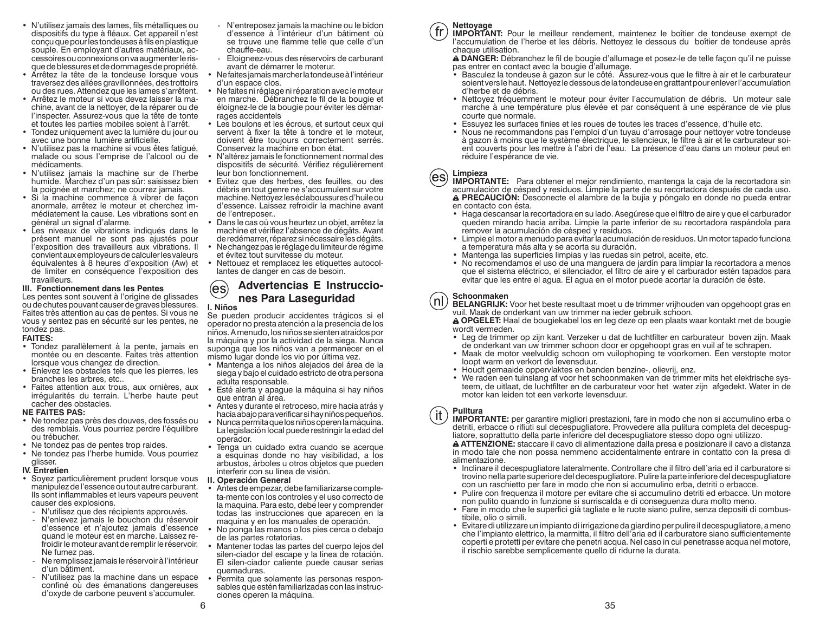- N'utilisez jamais des lames, fils métalliques ou dispositifs du type à fléaux. Cet appareil n'est conçu que pour les tondeuses à fils en plastique souple. En employant d'autres matériaux, accessoires ou connexions on va augmenter le risque de blessures et de dommages de propriété.
- Arrêtez la tête de la tondeuse lorsque vous traversez des allées gravillonnées, des trottoirs ou des rues. Attendez que les lames s'arrêtent.
- Arrêtez le moteur si vous devez laisser la machine, avant de la nettoyer, de la réparer ou de l'inspecter. Assurez-vous que la tête de tonte et toutes les parties mobiles soient à l'arrêt.
- Tondez uniquement avec la lumière du jour ou avec une bonne lumière artificielle.
- N'utilisez pas la machine si vous êtes fatigué, malade ou sous l'emprise de l'alcool ou de médicaments.
- N'utilisez jamais la machine sur de l'herbe humide. Marchez d'un pas sûr: saisissez bien la poignée et marchez; ne courrez jamais.
- Si la machine commence à vibrer de façon anormale, arrêtez le moteur et cherchez immédiatement la cause. Les vibrations sont en général un signal d'alarme.
- Les niveaux de vibrations indiqués dans le présent manuel ne sont pas ajustés pour l'exposition des travailleurs aux vibrations. Il convient aux employeurs de calculer les valeurs équivalentes à 8 heures d'exposition (Aw) et de limiter en conséquence l'exposition des travailleurs.

### **III. Fonctionnement dans les Pentes**

Les pentes sont souvent à l'origine de glissades ou de chutes pouvant causer de graves blessures. Faites très attention au cas de pentes. Si vous ne vous y sentez pas en sécurité sur les pentes, ne tondez pas.

### **FAITES:**

- Tondez parallèlement à la pente, jamais en montée ou en descente. Faites très attention lorsque vous changez de direction.
- Enlevez les obstacles tels que les pierres, les branches les arbres, etc..
- Faites attention aux trous, aux ornières, aux irrégularités du terrain. L'herbe haute peut cacher des obstacles.

### **NE FAITES PAS:**

- Ne tondez pas près des douves, des fossés ou des remblais. Vous pourriez perdre l'équilibre ou trébucher.
- Ne tondez pas de pentes trop raides.
- Ne tondez pas l'herbe humide. Vous pourriez glisser.

### **IV. Entretien**

- Soyez particulièrement prudent lorsque vous manipulez de l'essence ou tout autre carburant. Ils sont inflammables et leurs vapeurs peuvent causer des explosions.
	- N'utilisez que des récipients approuvés.
- N'enlevez jamais le bouchon du réservoir d'essence et n'ajoutez jamais d'essence quand le moteur est en marche. Laissez refroidir le moteur avant de remplir le réservoir. Ne fumez pas.
- Ne remplissez jamais le réservoir à l'intérieur d'un bâtiment.
- N'utilisez pas la machine dans un espace confiné où des émanations dangereuses d'oxyde de carbone peuvent s'accumuler.
- N'entreposez jamais la machine ou le bidon d'essence à l'intérieur d'un bâtiment où se trouve une flamme telle que celle d'un chauffe-eau.
- Eloigneez-vous des réservoirs de carburant avant de démarrer le moterur.
- Ne faites jamais marcher la tondeuse à l'intérieur d'un espace clos.
- Ne faites ni réglage ni réparation avec le moteur en marche. Débranchez le fil de la bougie et éloignez-le de la bougie pour éviter les démarrages accidentels
- Les boulons et les écrous, et surtout ceux qui servent à fixer la tête à tondre et le moteur, doivent être toujours correctement serrés. Conservez la machine en bon état.
- N'altérez jamais le fonctionnement normal des dispositifs de sécurité. Vérifiez régulièrement leur bon fonctionnement.
- Evitez que des herbes, des feuilles, ou des débris en tout genre ne s'accumulent sur votre machine. Nettoyez les éclaboussures d'huile ou d'essence. Laissez refroidir la machine avant de l'entreposer..
- Dans le cas où vous heurtez un objet, arrêtez la machine et vérifiez l'absence de dégâts. Avant de redémarrer, réparez si nécessaire les dégâts.
- Ne changez pas le réglage du limiteur de régime
- et évitez tout survitesse du moteur.• Nettouez et remplacez les etiquettes autocol-
- lantes de danger en cas de besoin.

### **Advertencias E Instruccio-**(es **nes Para Laseguridad I. Niños**

Se pueden producir accidentes trágicos si el operador no presta atención a la presencia de los niños. A menudo, los niños se sienten atraídos por la máquina y por la actividad de la siega. Nunca suponga que los niños van a permanecer en el mismo lugar donde los vio por última vez.

- Mantenga a los niños alejados del área de la siega y bajo el cuidado estricto de otra persona adulta responsable.
- Esté alerta y apague la máquina si hay niños que entran al área.
- Antes y durante el retroceso, mire hacia atrás y hacia abajo para verificar si hay niños pequeños.
- Nunca permita que los niños operen la máquina. La legislación local puede restringir la edad del operador.
- Tenga un cuidado extra cuando se acerque a esquinas donde no hay visibilidad, a los arbustos, árboles u otros objetos que pueden interferir con su línea de visión.
- **II. Operación General**
- Antes de empezar, debe familiarizarse completa-mente con los controles y el uso correcto de la maquina. Para esto, debe leer y comprender todas las instrucciones que aparecen en la maquina y en los manuales de operación.
- No ponga las manos o los pies cerca o debajo de las partes rotatorias.
- Mantener todas las partes del cuerpo lejos del silen-ciador del escape y la línea de rotación. El silen-ciador caliente puede causar serias quemaduras.
- Permita que solamente las personas responsables que estén familiarizadas con las instrucciones operen la máquina.

### **Nettoyage** fr

**IMPORTANT:** Pour le meilleur rendement, maintenez le boîtier de tondeuse exempt de l'accumulation de l'herbe et les débris. Nettoyez le dessous du boîtier de tondeuse après chaque utilisation.

 **DANGER:** Débranchez le fil de bougie d'allumage et posez-le de telle façon qu'il ne puisse pas entrer en contact avec la bougie d'allumage.

- Basculez la tondeuse à gazon sur le côté. Assurez-vous que le filtre à air et le carburateur soient vers le haut. Nettoyez le dessous de la tondeuse en grattant pour enlever l'accumulation d'herbe et de débris.
- Nettoyez fréquemment le moteur pour éviter l'accumulation de débris. Un moteur sale marche à une température plus élevée et par conséquent à une espérance de vie plus courte que normale.
- Essuyez les surfaces finies et les roues de toutes les traces d'essence, d'huile etc.
- Nous ne recommandons pas l'emploi d'un tuyau d'arrosage pour nettoyer votre tondeuse à gazon à moins que le système électrique, le silencieux, le filtre à air et le carburateur soient couverts pour les mettre à l'abri de l'eau. La présence d'eau dans un moteur peut en réduire l'espérance de vie.

### **Limpieza** (es)

- **IMPORTANTE:** Para obtener el mejor rendimiento, mantenga la caja de la recortadora sin acumulación de césped y residuos. Limpie la parte de su recortadora después de cada uso. A PRECAUCIÓN: Desconecte el alambre de la bujía y póngalo en donde no pueda entrar en contacto con ésta.
- Haga descansar la recortadora en su lado. Asegúrese que el filtro de aire y que el carburador queden mirando hacia arriba. Limpie la parte inferior de su recortadora raspándola para remover la acumulación de césped y residuos.
- Limpie el motor a menudo para evitar la acumulación de residuos. Un motor tapado funciona a temperatura más alta y se acorta su duración.
- Mantenga las superficies limpias y las ruedas sin petrol, aceite, etc.
- No recomendamos el uso de una manguera de jardín para limpiar la recortadora a menos que el sistema eléctrico, el silenciador, el filtro de aire y el carburador estén tapados para evitar que les entre el agua. El agua en el motor puede acortar la duración de éste.

### **Schoonmaken**nl.

 **BELANGRIJK:** Voor het beste resultaat moet u de trimmer vrijhouden van opgehoopt gras en vuil. Maak de onderkant van uw trimmer na ieder gebruik schoon.

 **OPGELET:** Haal de bougiekabel los en leg deze op een plaats waar kontakt met de bougie wordt vermeden.

- Leg de trimmer op zijn kant. Verzeker u dat de luchtfilter en carburateur boven zijn. Maak de onderkant van uw trimmer schoon door er opgehoopt gras en vuil af te schrapen.
- Maak de motor veelvuldig schoon om vuilophoping te voorkomen. Een verstopte motor loopt warm en verkort de levensduur.
- Houdt gemaaide oppervlaktes en banden benzine-, olievrij, enz.
- We raden een tuinslang af voor het schoonmaken van de trimmer mits het elektrische systeem, de uitlaat, de luchtfilter en de carburateur voor het water zijn afgedekt. Water in de motor kan leiden tot een verkorte levensduur.

### **Pulitura**it.

 **IMPORTANTE:** per garantire migliori prestazioni, fare in modo che non si accumulino erba o detriti, erbacce o rifiuti sul decespugliatore. Provvedere alla pulitura completa del decespugliatore, soprattutto della parte inferiore del decespugliatore stesso dopo ogni utilizzo.

 **ATTENZIONE:** staccare il cavo di alimentazione dalla presa e posizionare il cavo a distanza in modo tale che non possa nemmeno accidentalmente entrare in contatto con la presa di alimentazione.

- Inclinare il decespugliatore lateralmente. Controllare che il filtro dell'aria ed il carburatore si trovino nella parte superiore del decespugliatore. Pulire la parte inferiore del decespugliatore con un raschietto per fare in modo che non si accumulino erba, detriti o erbacce.
- Pulire con frequenza il motore per evitare che si accumulino detriti ed erbacce. Un motore non pulito quando in funzione si surriscalda e di conseguenza dura molto meno.
- Fare in modo che le superfici già tagliate e le ruote siano pulire, senza depositi di combustibile, olio o simili.
- Evitare di utilizzare un impianto di irrigazione da giardino per pulire il decespugliatore, a meno che l'impianto elettrico, la marmitta, il filtro dell'aria ed il carburatore siano sufficientemente coperti e protetti per evitare che penetri acqua. Nel caso in cui penetrasse acqua nel motore, il rischio sarebbe semplicemente quello di ridurne la durata.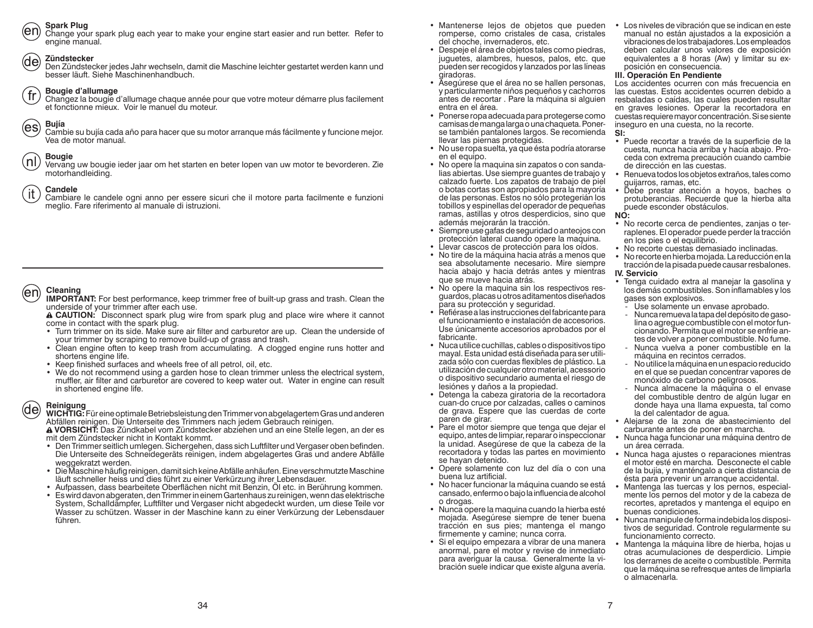**Spark Plug**

Change your spark plug each year to make your engine start easier and run better. Refer to engine manual.

### **Zündstecker**(de)

 Den Zündstecker jedes Jahr wechseln, damit die Maschine leichter gestartet werden kann und besser läuft. Siehe Maschinenhandbuch.

### **Bougie d'allumage**  $\sqrt{\text{fr}}$

Changez la bougie d'allumage chaque année pour que votre moteur démarre plus facilement et fonctionne mieux. Voir le manuel du moteur.



Cambie su bujía cada año para hacer que su motor arranque más fácilmente y funcione mejor. Vea de motor manual.

### **Bougie** (nli

Vervang uw bougie ieder jaar om het starten en beter lopen van uw motor te bevorderen. Zie motorhandleiding.

### **Candele**-it

 Cambiare le candele ogni anno per essere sicuri che il motore parta facilmente e funzioni meglio. Fare riferimento al manuale di istruzioni.

### **Cleaning** (en

**IMPORTANT:** For best performance, keep trimmer free of built-up grass and trash. Clean the underside of your trimmer after each use.

 **CAUTION:** Disconnect spark plug wire from spark plug and place wire where it cannot come in contact with the spark plug.

- Turn trimmer on its side. Make sure air filter and carburetor are up. Clean the underside of your trimmer by scraping to remove build-up of grass and trash.
- Clean engine often to keep trash from accumulating. A clogged engine runs hotter and shortens engine life.
- Keep finished surfaces and wheels free of all petrol, oil, etc.
- We do not recommend using a garden hose to clean trimmer unless the electrical system, muffler, air filter and carburetor are covered to keep water out. Water in engine can result in shortened engine life.

### **Reinigung** (de

**WICHTIG:** Für eine optimale Betriebsleistung den Trimmer von abgelagertem Gras und anderen Abfällen reinigen. Die Unterseite des Trimmers nach jedem Gebrauch reinigen.

 **VORSICHT:** Das Zündkabel vom Zündstecker abziehen und an eine Stelle legen, an der es mit dem Zündstecker nicht in Kontakt kommt.

- Den Trimmer seitlich umlegen. Sichergehen, dass sich Luftfilter und Vergaser oben befinden. Die Unterseite des Schneidegeräts reinigen, indem abgelagertes Gras und andere Abfälle weggekratzt werden.
- Die Maschine häufig reinigen, damit sich keine Abfälle anhäufen. Eine verschmutzte Maschine
- Aufpassen, dass bearbeitete Oberflächen nicht mit Benzin, Öl etc. in Berührung kommen.
- Es wird davon abgeraten, den Trimmer in einem Gartenhaus zu reinigen, wenn das elektrische System, Schalldämpfer, Luftfilter und Vergaser nicht abgedeckt wurden, um diese Teile vor Wasser zu schützen. Wasser in der Maschine kann zu einer Verkürzung der Lebensdauer führen.
- Mantenerse lejos de objetos que pueden romperse, como cristales de casa, cristales del choche, invernaderos, etc.
- Despeje el área de objetos tales como piedras, juguetes, alambres, huesos, palos, etc. que pueden ser recogidos y lanzados por las líneas giradoras.
- Asegúrese que el área no se hallen personas, y particularmente niños pequeños y cachorros antes de recortar . Pare la máquina si alguien entra en el área.
- Ponerse ropa adecuada para protegerse como camisas de manga larga o una chaqueta. Ponerse también pantalones largos. Se recomienda llevar las piernas protegidas.
- No use ropa suelta, ya que ésta podría atorarse en el equipo.
- No opere la maquina sin zapatos o con sandalias abiertas. Use siempre guantes de trabajo y calzado fuerte. Los zapatos de trabajo de piel o botas cortas son apropiados para la mayoría de las personas. Estos no sólo protegerián los tobillos y espinellas del operador de pequeñas ramas, astillas y otros desperdicios, sino que además mejorarán la tracción.
- Siempre use gafas de seguridad o anteojos con protección lateral cuando opere la maquina.
- Llevar cascos de protección para los oídos.
- No tire de la máquina hacia atrás a menos que sea absolutamente necesario. Mire siempre hacia abajo y hacia detrás antes y mientras que se mueve hacia atrás.
- No opere la maquina sin los respectivos resguardos, placas u otros aditamentos diseñados para su protección y seguridad.
- Refiérase a las instrucciones del fabricante para el funcionamiento e instalación de accesorios. Use únicamente accesorios aprobados por el fabricante.
- Nuca utilice cuchillas, cables o dispositivos tipo mayal. Esta unidad está diseñada para ser utilizada sólo con cuerdas flexibles de plástico. La utilización de cualquier otro material, acessorio o dispositivo secundario aumenta el riesgo de lesiónes y daños a la propiedad.
- Detenga la cabeza giratoria de la recortadora cuan-do cruce por calzadas, calles o caminos de grava. Espere que las cuerdas de corte paren de girar.
- Pare el motor siempre que tenga que dejar el equipo, antes de limpiar, reparar o inspeccionar la unidad. Asegúrese de que la cabeza de la recortadora y todas las partes en movimiento se hayan detenido.
- Opere solamente con luz del día o con una buena luz artificial.
- No hacer funcionar la máquina cuando se está cansado, enfermo o bajo la influencia de alcohol o drogas.
- Nunca opere la maquina cuando la hierba esté mojada. Asegúrese siempre de tener buena tracción en sus pies; mantenga el mango firmemente y camine; nunca corra.
- Si el equipo empezara a vibrar de una manera anormal, pare el motor y revise de inmediato para averiguar la causa. Generalmente la vibración suele indicar que existe alguna avería.

• Los niveles de vibración que se indican en este manual no están ajustados a la exposición a vibraciones de los trabajadores. Los empleados deben calcular unos valores de exposición equivalentes a 8 horas (Aw) y limitar su exposición en consecuencia.

### **III. Operación En Pendiente**

Los accidentes ocurren con más frecuencia en las cuestas. Estos accidentes ocurren debido a resbaladas o caídas, las cuales pueden resultar en graves lesiones. Operar la recortadora en cuestas requiere mayor concentración. Si se siente inseguro en una cuesta, no la recorte. **SI:**

- Puede recortar a través de la superficie de la cuesta, nunca hacia arriba y hacia abajo. Proceda con extrema precaución cuando cambie de dirección en las cuestas.
- Renueva todos los objetos extraños, tales como guijarros, ramas, etc.
- Debe prestar atención a hoyos, baches o protuberancias. Recuerde que la hierba alta puede esconder obstáculos. **NO:**

### • No recorte cerca de pendientes, zanjas o terraplenes. El operador puede perder la tracción en los pies o el equilibrio.

- No recorte cuestas demasiado inclinadas.
- No recorte en hierba mojada. La reducción en la
- tracción de la pisada puede causar resbalones. **IV. Servicio**

### • Tenga cuidado extra al manejar la gasolina y los demás combustibles. Son inflamables y los gases son explosivos.

- Use solamente un envase aprobado.
- Nunca remueva la tapa del depósito de gasolina o agregue combustible con el motor funcionando. Permita que el motor se enfríe antes de volver a poner combustible. No fume.
- Nunca vuelva a poner combustible en la máquina en recintos cerrados.
- No utilice la máquina en un espacio reducido en el que se puedan concentrar vapores de monóxido de carbono peligrosos.
- Nunca almacene la máquina o el envase del combustible dentro de algún lugar en donde haya una llama expuesta, tal como la del calentador de agua.
- Alejarse de la zona de abastecimiento del carburante antes de poner en marcha.
- Nunca haga funcionar una máquina dentro de un área cerrada.
- Nunca haga ajustes o reparaciones mientras el motor esté en marcha. Desconecte el cable de la bujía, y manténgalo a cierta distancia de ésta para prevenir un arranque accidental.
- Mantenga las tuercas y los pernos, especialmente los pernos del motor y de la cabeza de recortes, apretados y mantenga el equipo en buenas condiciones.
- Nunca manipule de forma indebida los dispositivos de seguridad. Controle regularmente su funcionamiento correcto.
- Mantenga la máquina libre de hierba, hojas u otras acumulaciones de desperdicio. Limpie los derrames de aceite o combustible. Permita que la máquina se refresque antes de limpiarla o almacenarla.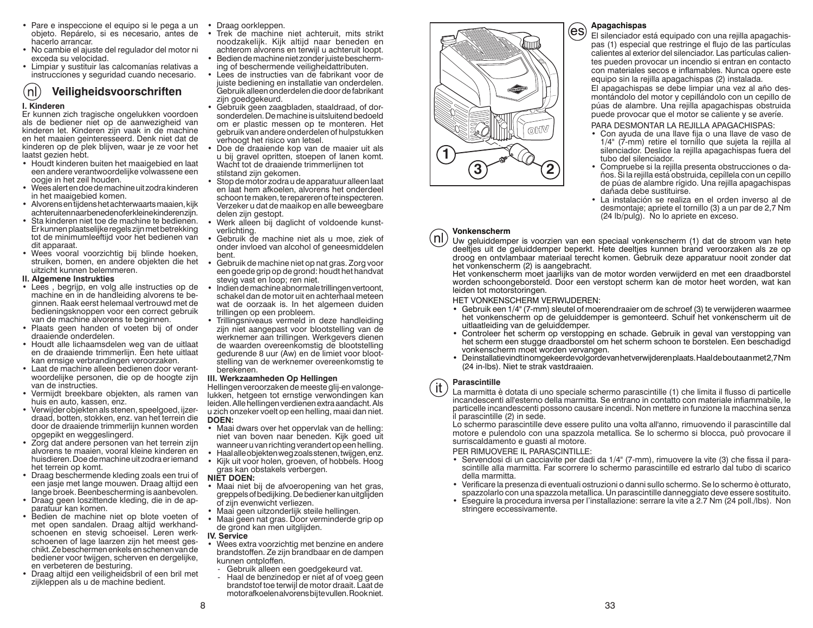- Pare e inspeccione el equipo si le pega a un Draag oorkleppen. objeto. Repárelo, si es necesario, antes de hacerlo arrancar.
- No cambie el ajuste del regulador del motor ni exceda su velocidad.
- Limpiar y sustituir las calcomanías relativas a instrucciones y seguridad cuando necesario.

### $\mathsf{(nl)}$ **Veiligheidsvoorschriften I. Kinderen**

 Er kunnen zich tragische ongelukken voordoen als de bediener niet op de aanwezigheid van kinderen let. Kinderen zijn vaak in de machine en het maaien geinteresseerd. Denk niet dat de kinderen op de plek blijven, waar je ze voor het laatst gezien hebt.

- Houdt kinderen buiten het maaigebied en laat een andere verantwoordelijke volwassene een oogje in het zeil houden.
- Wees alert en doe de machine uit zodra kinderen in het maaigebied komen.
- Alvorens en tijdens het achterwaarts maaien, kijk achteruit en naar beneden of er kleine kinderen zijn.
- Sta kinderen niet toe de machine te bedienen. Er kunnen plaatselijke regels zijn met betrekking tot de minimumleeftijd voor het bedienen van dit apparaat.
- Wees vooral voorzichtig bij blinde hoeken, struiken, bomen, en andere objekten die het uitzicht kunnen belemmeren.

### **II. Algemene Instrukties**

- Lees , begrijp, en volg alle instructies op de machine en in de handleiding alvorens te beginnen. Raak eerst helemaal vertrouwd met de bedieningsknoppen voor een correct gebruik van de machine alvorens te beginnen.
- Plaats geen handen of voeten bij of onder draaiende onderdelen.
- Houdt alle lichaamsdelen weg van de uitlaat en de draaiende trimmerlijn. Een hete uitlaat kan ernsige verbrandingen veroorzaken.
- Laat de machine alleen bedienen door verantwoordelijke personen, die op de hoogte zijn van de instructies.
- Vermijdt breekbare objekten, als ramen van huis en auto, kassen, enz.
- Verwijder objekten als stenen, speelgoed, ijzerdraad, botten, stokken, enz. van het terrein die door de draaiende trimmerlijn kunnen worden opgepikt en weggeslingerd.
- Zorg dat andere personen van het terrein zijn alvorens te maaien, vooral kleine kinderen en huisdieren. Doe de machine uit zodra er iemand het terrein op komt.
- Draag beschermende kleding zoals een trui of een jasje met lange mouwen. Draag altijd een lange broek. Beenbescherming is aanbevolen.
- Draag geen loszittende kleding, die in de apparatuur kan komen.
- Bedien de machine niet op blote voeten of met open sandalen. Draag altijd werkhandschoenen en stevig schoeisel. Leren werkschoenen of lage laarzen zijn het meest geschikt. Ze beschermen enkels en schenen van de bediener voor twijgen, scherven en dergelijke, en verbeteren de besturing.
- Draag altijd een veiligheidsbril of een bril met zijkleppen als u de machine bedient.
- 
- Trek de machine niet achteruit, mits strikt noodzakelijk. Kijk altijd naar beneden en achterom alvorens en terwijl u achteruit loopt.
- Bedien de machine niet zonder juiste bescherming of beschermende veiligheidattributen.
- Lees de instructies van de fabrikant voor de juiste bediening en installatie van onderdelen. Gebruik alleen onderdelen die door de fabrikant zijn goedgekeurd.
- Gebruik geen zaagbladen, staaldraad, of dorsonderdelen. De machine is uitsluitend bedoeld om er plastic messen op te monteren. Het gebruik van andere onderdelen of hulpstukken verhoogt het risico van letsel.
- Doe de draaiende kop van de maaier uit als u bij gravel opritten, stoepen of lanen komt. Wacht tot de draaiende trimmerlijnen tot stilstand zijn gekomen.
- Stop de motor zodra u de apparatuur alleen laat en laat hem afkoelen, alvorens het onderdeel schoon te maken, te repareren of te inspecteren. Verzeker u dat de maaikop en alle beweegbare delen zijn gestopt.
- Werk alleen bij daglicht of voldoende kunstverlichting.
- Gebruik de machine niet als u moe, ziek of onder invloed van alcohol of geneesmiddelen bent.
- Gebruik de machine niet op nat gras. Zorg voor een goede grip op de grond: houdt het handvat stevig vast en loop; ren niet.
- Indien de machine abnormale trillingen vertoont, schakel dan de motor uit en achterhaal meteen wat de oorzaak is. In het algemeen duiden trillingen op een probleem.
- Trillingsniveaus vermeld in deze handleiding zijn niet aangepast voor blootstelling van de werknemer aan trillingen. Werkgevers dienen de waarden overeenkomstig de blootstelling gedurende 8 uur (Aw) en de limiet voor blootstelling van de werknemer overeenkomstig te berekenen.

### **III. Werkzaamheden Op Hellingen**

Hellingen veroorzaken de meeste glij-en valongelukken, hetgeen tot ernstige verwondingen kan leiden. Alle hellingen verdienen extra aandacht. Als u zich onzeker voelt op een helling, maai dan niet. **DOEN:**

- Maai dwars over het oppervlak van de helling: niet van boven naar beneden. Kijk goed uit wanneer u van richting verandert op een helling.
- Haal alle objekten weg zoals stenen, twijgen, enz.
- Kijk uit voor holen, groeven, of hobbels. Hoog gras kan obstakels verbergen.

### **NIET DOEN:**

- Maai niet bij de afvoeropening van het gras, greppels of bedijking. De bediener kan uitglijden of zijn evenwicht verliezen.
- Maai geen uitzonderlijk steile hellingen.
- Maai geen nat gras. Door verminderde grip op de grond kan men uitglijden.

### **IV. Service**

- Wees extra voorzichtig met benzine en andere brandstoffen. Ze zijn brandbaar en de dampen kunnen ontploffen.
- Gebruik alleen een goedgekeurd vat.
- Haal de benzinedop er niet af of voeg geen brandstof toe terwijl de motor draait. Laat de motor afkoelen alvorens bij te vullen. Rook niet.



### **Apagachispas**

El silenciador está equipado con una rejilla apagachispas (1) especial que restringe el flujo de las partículas calientes al exterior del silenciador. Las partículas calientes pueden provocar un incendio si entran en contacto con materiales secos e inflamables. Nunca opere este equipo sin la rejilla apagachispas (2) instalada. El apagachispas se debe limpiar una vez al año desmontándolo del motor y cepillándolo con un cepillo de púas de alambre. Una rejilla apagachispas obstruida puede provocar que el motor se caliente y se averíe.

### PARA DESMONTAR LA REJILLA APAGACHISPAS:

- Con ayuda de una llave fija o una llave de vaso de 1/4" (7-mm) retire el tornillo que sujeta la rejilla al silenciador. Deslice la rejilla apagachispas fuera del tubo del silenciador.
- Compruebe si la rejilla presenta obstrucciones o daños. Si la rejilla está obstruida, cepíllela con un cepillo de púas de alambre rígido. Una rejilla apagachispas dañada debe sustituirse.
- La instalación se realiza en el orden inverso al de desmontaje; apriete el tornillo (3) a un par de 2,7 Nm (24 lb/pulg). No lo apriete en exceso.

### **Vonkenscherm**nl

Uw geluiddemper is voorzien van een speciaal vonkenscherm (1) dat de stroom van hete deeltjes uit de geluiddemper beperkt. Hete deeltjes kunnen brand veroorzaken als ze op droog en ontvlambaar materiaal terecht komen. Gebruik deze apparatuur nooit zonder dat het vonkenscherm (2) is aangebracht.

Het vonkenscherm moet jaarlijks van de motor worden verwijderd en met een draadborstel worden schoongeborsteld. Door een verstopt scherm kan de motor heet worden, wat kan leiden tot motorstoringen.

### HET VONKENSCHERM VERWIJDEREN:

- Gebruik een 1/4" (7-mm) sleutel of moerendraaier om de schroef (3) te verwijderen waarmee het vonkenscherm op de geluiddemper is gemonteerd. Schuif het vonkenscherm uit de uitlaatleiding van de geluiddemper.
- Controleer het scherm op verstopping en schade. Gebruik in geval van verstopping van het scherm een stugge draadborstel om het scherm schoon te borstelen. Een beschadigd vonkenscherm moet worden vervangen.
- De installatie vindt in omgekeerde volgorde van het verwijderen plaats. Haal de bout aan met 2,7 Nm (24 in-lbs). Niet te strak vastdraaien.

### **Parascintille**

it.

La marmitta è dotata di uno speciale schermo parascintille (1) che limita il flusso di particelle incandescenti all'esterno della marmitta. Se entrano in contatto con materiale infiammabile, le particelle incandescenti possono causare incendi. Non mettere in funzione la macchina senza il parascintille (2) in sede.

Lo schermo parascintille deve essere pulito una volta all'anno, rimuovendo il parascintille dal motore e pulendolo con una spazzola metallica. Se lo schermo si blocca, può provocare il surriscaldamento e guasti al motore.

### PER RIMUOVERE IL PARASCINTILLE:

- Servendosi di un cacciavite per dadi da 1/4" (7-mm), rimuovere la vite (3) che fissa il parascintille alla marmitta. Far scorrere lo schermo parascintille ed estrarlo dal tubo di scarico della marmitta.
- Verificare la presenza di eventuali ostruzioni o danni sullo schermo. Se lo schermo è otturato, spazzolarlo con una spazzola metallica. Un parascintille danneggiato deve essere sostituito.
- Eseguire la procedura inversa per l'installazione: serrare la vite a 2.7 Nm (24 poll./lbs). Non stringere eccessivamente.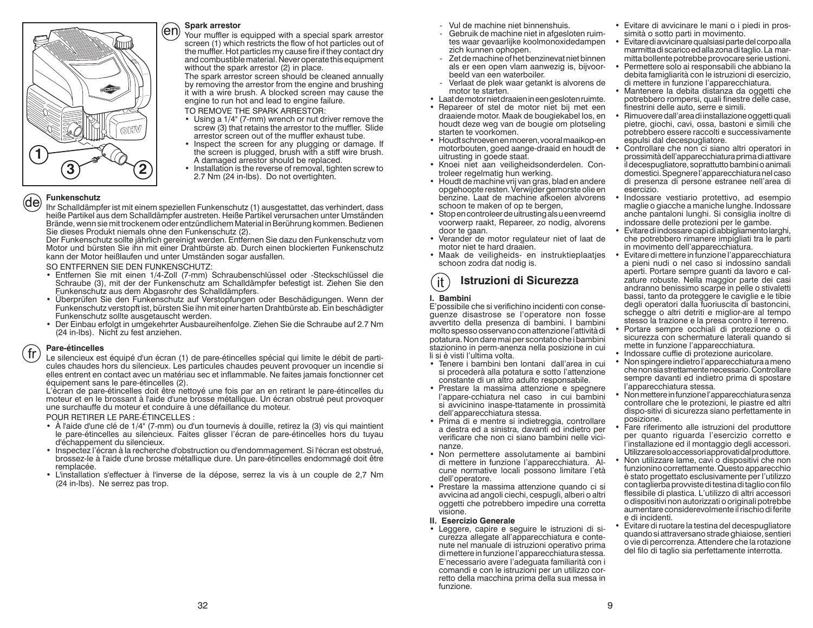

### **Spark arrestor**

Your muffler is equipped with a special spark arrestor screen (1) which restricts the flow of hot particles out of the muffler. Hot particles my cause fire if they contact dry and combustible material. Never operate this equipment without the spark arrestor (2) in place.

The spark arrestor screen should be cleaned annually by removing the arrestor from the engine and brushing it with a wire brush. A blocked screen may cause the engine to run hot and lead to engine failure.

TO REMOVE THE SPARK ARRESTOR:

- Using a 1/4" (7-mm) wrench or nut driver remove the screw (3) that retains the arrestor to the muffler. Slide arrestor screen out of the muffler exhaust tube.
- Inspect the screen for any plugging or damage. If the screen is plugged, brush with a stiff wire brush. A damaged arrestor should be replaced.
- Installation is the reverse of removal, tighten screw to 2.7 Nm (24 in-lbs). Do not overtighten.

### **Funkenschutz**(de)

Ihr Schalldämpfer ist mit einem speziellen Funkenschutz (1) ausgestattet, das verhindert, dass heiße Partikel aus dem Schalldämpfer austreten. Heiße Partikel verursachen unter Umständen Brände, wenn sie mit trockenem oder entzündlichem Material in Berührung kommen. Bedienen Sie dieses Produkt niemals ohne den Funkenschutz (2).

Der Funkenschutz sollte jährlich gereinigt werden. Entfernen Sie dazu den Funkenschutz vom Motor und bürsten Sie ihn mit einer Drahtbürste ab. Durch einen blockierten Funkenschutz kann der Motor heißlaufen und unter Umständen sogar ausfallen.

### SO ENTFERNEN SIE DEN FUNKENSCHUTZ:

- Entfernen Sie mit einen 1/4-Zoll (7-mm) Schraubenschlüssel oder -Steckschlüssel die Schraube (3), mit der der Funkenschutz am Schalldämpfer befestigt ist. Ziehen Sie den<br>Funkenschutz aus dem Abgasrohr des Schalldämpfers.
- Überprüfen Sie den Funkenschutz auf Verstopfungen oder Beschädigungen. Wenn der Funkenschutz verstopft ist, bürsten Sie ihn mit einer harten Drahtbürste ab. Ein beschädigter Funkenschutz sollte ausgetauscht werden.
- Der Einbau erfolgt in umgekehrter Ausbaureihenfolge. Ziehen Sie die Schraube auf 2.7 Nm (24 in-lbs). Nicht zu fest anziehen.

### **Pare-étincelles** fr

Le silencieux est équipé d'un écran (1) de pare-étincelles spécial qui limite le débit de particules chaudes hors du silencieux. Les particules chaudes peuvent provoquer un incendie si elles entrent en contact avec un matériau sec et inflammable. Ne faites jamais fonctionner cet équipement sans le pare-étincelles (2).

L'écran de pare-étincelles doit être nettoyé une fois par an en retirant le pare-étincelles du moteur et en le brossant à l'aide d'une brosse métallique. Un écran obstrué peut provoquer une surchauffe du moteur et conduire à une défaillance du moteur.

### POUR RETIRER LE PARE-ÉTINCELLES :

- À l'aide d'une clé de 1/4" (7-mm) ou d'un tournevis à douille, retirez la (3) vis qui maintient le pare-étincelles au silencieux. Faites glisser l'écran de pare-étincelles hors du tuyau d'échappement du silencieux.
- Inspectez l'écran à la recherche d'obstruction ou d'endommagement. Si l'écran est obstrué, brossez-le à l'aide d'une brosse métallique dure. Un pare-étincelles endommagé doit être remplacée.
- L'installation s'effectuer à l'inverse de la dépose, serrez la vis à un couple de 2,7 Nm (24 in-lbs). Ne serrez pas trop.
- Vul de machine niet binnenshuis.
- Gebruik de machine niet in afgesloten ruimtes waar gevaarlijke koolmonoxidedampen zich kunnen ophopen.
- Zet de machine of het benzinevat niet binnen als er een open vlam aanwezig is, bijvoorbeeld van een waterboiler.
- Verlaat de plek waar getankt is alvorens de motor te starten.
- Laat de motor niet draaien in een gesloten ruimte.
- Repareer of stel de motor niet bij met een draaiende motor. Maak de bougiekabel los, en houdt deze weg van de bougie om plotseling starten te voorkomen.
- Houdt schroeven en moeren, vooral maaikop-en motorbouten, goed aange-draaid en houdt de uitrusting in goede staat.
- Knoei niet aan veiligheidsonderdelen. Controleer regelmatig hun werking.
- Houdt de machine vrij van gras, blad en andere opgehoopte resten. Verwijder gemorste olie en benzine. Laat de machine afkoelen alvorens schoon te maken of op te bergen,
- Stop en controleer de uitrusting als u een vreemd voorwerp raakt, Repareer, zo nodig, alvorens door te gaan.
- Verander de motor regulateur niet of laat de motor niet te hard draaien.
- Maak de veiligheids- en instruktieplaatjes schoon zodra dat nodig is.

### **Istruzioni di Sicurezza**it.

### **I. Bambini**

 E'possibile che si verifichino incidenti con conseguenze disastrose se l'operatore non fosse avvertito della presenza di bambini. I bambini molto spesso osservano con attenzione l'attività di potatura. Non dare mai per scontato che i bambini stazionino in perm-anenza nella posizione in cui li si è visti l'ultima volta.

- Tenere i bambini ben lontani dall'area in cui si procederà alla potatura e sotto l'attenzione constante di un altro adulto responsabile.
- Prestare la massima attenzione e spegnere l'appare-cchiatura nel caso in cui bambini si avvicinino inaspe-ttatamente in prossimità dell'apparecchiatura stessa.
- Prima di e mentre si indietreggia, controllare a destra ed a sinistra, davanti ed indietro per verificare che non ci siano bambini nelle vicinanze.
- Non permettere assolutamente ai bambini di mettere in funzione l'apparecchiatura. Alcune normative locali possono limitare l'età dell'operatore.
- Prestare la massima attenzione quando ci si avvicina ad angoli ciechi, cespugli, alberi o altri oggetti che potrebbero impedire una corretta visione.

### **II. Esercizio Generale**

• Leggere, capire e seguire le istruzioni di sicurezza allegate all'apparecchiatura e contenute nel manuale di istruzioni operativo prima di mettere in funzione l'apparecchiatura stessa. E'necessario avere l'adeguata familiarità con i comandi e con le istruzioni per un utilizzo corretto della macchina prima della sua messa in funzione.

- Evitare di avvicinare le mani o i piedi in prossimità o sotto parti in movimento.
- Evitare di avvicinare qualsiasi parte del corpo alla marmitta di scarico ed alla zona di taglio. La marmitta bollente potrebbe provocare serie ustioni.
- Permettere solo ai responsabili che abbiano la debita famigliarità con le istruzioni di esercizio, di mettere in funzione l'apparecchiatura.
- Mantenere la debita distanza da oggetti che potrebbero rompersi, quali finestre delle case, finestrini delle auto, serre e simili.
- Rimuovere dall'area di installazione oggetti quali pietre, giochi, cavi, ossa, bastoni e simili che potrebbero essere raccolti e successivamente espulsi dal decespugliatore.
- Controllare che non ci siano altri operatori in prossimità dell'apparecchiatura prima di attivare il decespugliatore, soprattutto bambini o animali domestici. Spegnere l'apparecchiatura nel caso di presenza di persone estranee nell'area di esercizio.
- Indossare vestiario protettivo, ad esempio maglie o giacche a maniche lunghe. Indossare anche pantaloni lunghi. Si consiglia inoltre di indossare delle protezioni per le gambe.
- Evitare di indossare capi di abbigliamento larghi, che potrebbero rimanere impigliati tra le parti in movimento dell'apparecchiatura.
- Evitare di mettere in funzione l'apparecchiatura a pieni nudi o nel caso si indossino sandali aperti. Portare sempre guanti da lavoro e calzature robuste. Nella maggior parte dei casi andranno benissimo scarpe in pelle o stivaletti bassi, tanto da proteggere le caviglie e le tibie degli operatori dalla fuoriuscita di bastoncini, schegge o altri detriti e miglior-are al tempo stesso la trazione e la presa contro il terreno.
- Portare sempre occhiali di protezione o di sicurezza con schermature laterali quando si mette in funzione l'apparecchiatura.
- Indossare cuffie di protezione auricolare.
- Non spingere indietro l'apparecchiatura a meno che non sia strettamente necessario. Controllare sempre davanti ed indietro prima di spostare l'apparecchiatura stessa.
- Non mettere in funzione l'apparecchiatura senza controllare che le protezioni, le piastre ed altri dispo-sitivi di sicurezza siano perfettamente in posizione.
- Fare riferimento alle istruzioni del produttore per quanto riguarda l'esercizio corretto e l'installazione ed il montaggio degli accessori. Utilizzare solo accessori approvati dal produttore.
- Non utilizzare lame, cavi o dispositivi che non funzionino correttamente. Questo apparecchio è stato progettato esclusivamente per l'utilizzo con taglierba provviste di testina di taglio con filo flessibile di plastica. L'utilizzo di altri accessori o dispositivi non autorizzati o originali potrebbe aumentare considerevolmente il rischio di ferite e di incidenti.
- Evitare di ruotare la testina del decespugliatore quando si attraversano strade ghiaiose, sentieri o vie di percorrenza. Attendere che la rotazione del filo di taglio sia perfettamente interrotta.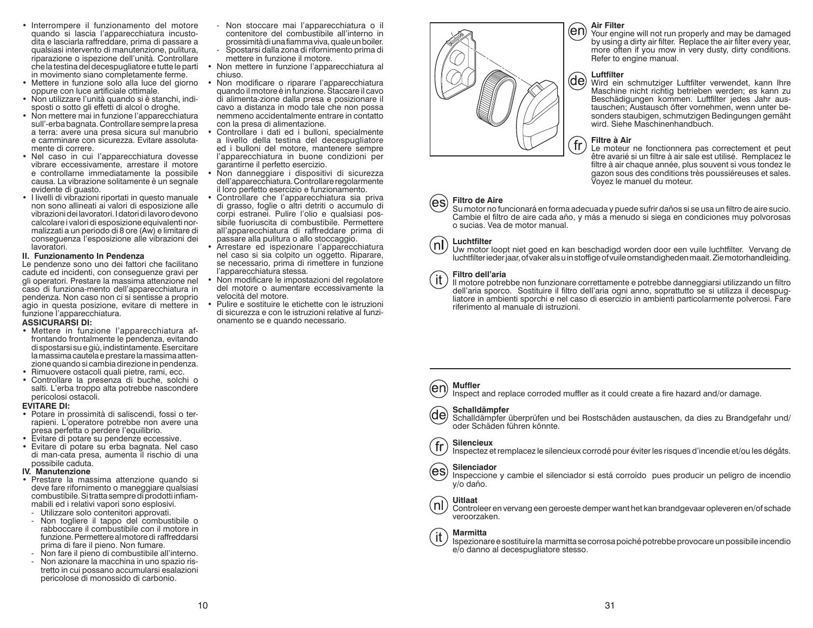- Interrompere il funzionamento del motore quando si lascia l'apparecchiatura incustodita e lasciarla raffreddare, prima di passare a qualsiasi intervento di manutenzione, pulitura, riparazione o ispezione dell'unità. Controllare che la testina del decespugliatore e tutte le parti in movimento siano completamente ferme.
- Mettere in funzione solo alla luce del giorno oppure con luce artificiale ottimale.
- Non utilizzare l'unità quando si è stanchi, indisposti o sotto gli effetti di alcol o droghe.
- Non mettere mai in funzione l'apparecchiatura sull'-erba bagnata. Controllare sempre la presa a terra: avere una presa sicura sul manubrio e camminare con sicurezza. Evitare assolutamente di correre.
- Nel caso in cui l'apparecchiatura dovesse vibrare eccessivamente, arrestare il motore e controllarne immediatamente la possibile causa. La vibrazione solitamente è un segnale evidente di guasto.
- I livelli di vibrazioni riportati in questo manuale non sono allineati ai valori di esposizione alle vibrazioni dei lavoratori. I datori di lavoro devono calcolare i valori di esposizione equivalenti normalizzati a un periodo di 8 ore (Aw) e limitare di conseguenza l'esposizione alle vibrazioni dei lavoratori.

### **II. Funzionamento In Pendenza**

 Le pendenze sono uno dei fattori che facilitano cadute ed incidenti, con conseguenze gravi per gli operatori. Prestare la massima attenzione nel caso di funziona-mento dell'apparecchiatura in pendenza. Non caso non ci si sentisse a proprio agio in questa posizione, evitare di mettere in funzione l'apparecchiatura.

### **ASSICURARSI DI:**

- Mettere in funzione l'apparecchiatura affrontando frontalmente le pendenza, evitando di spostarsi su e giù, indistintamente. Esercitare la massima cautela e prestare la massima attenzione quando si cambia direzione in pendenza.
- Rimuovere ostacoli quali pietre, rami, ecc.
- Controllare la presenza di buche, solchi o salti. L'erba troppo alta potrebbe nascondere pericolosi ostacoli.

### **EVITARE DI:**

- Potare in prossimità di saliscendi, fossi o terrapieni. L'operatore potrebbe non avere una presa perfetta o perdere l'equilibrio.
- Evitare di potare su pendenze eccessive.
- Evitare di potare su erba bagnata. Nel caso di man-cata presa, aumenta il rischio di una possibile caduta.

### **IV. Manutenzione**

- Prestare la massima attenzione quando si deve fare rifornimento o maneggiare qualsiasi combustibile. Si tratta sempre di prodotti infiammabili ed i relativi vapori sono esplosivi.
- Utilizzare solo contenitori approvati.
- Non togliere il tappo del combustibile o rabboccare il combustibile con il motore in funzione. Permettere al motore di raffreddarsi prima di fare il pieno. Non fumare.
- Non fare il pieno di combustibile all'interno.
- Non azionare la macchina in uno spazio ristretto in cui possano accumularsi esalazioni pericolose di monossido di carbonio.
- Non stoccare mai l'apparecchiatura o il contenitore del combustibile all'interno in prossimità di una fiamma viva, quale un boiler.
- Spostarsi dalla zona di rifornimento prima di mettere in funzione il motore.
- Non mettere in funzione l'apparecchiatura al chiuso.
- Non modificare o riparare l'apparecchiatura quando il motore è in funzione. Staccare il cavo di alimenta-zione dalla presa e posizionare il cavo a distanza in modo tale che non possa nemmeno accidentalmente entrare in contatto con la presa di alimentazione.
- Controllare i dati ed i bulloni, specialmente a livello della testina del decespugliatore ed i bulloni del motore, mantenere sempre l'apparecchiatura in buone condizioni per garantirne il perfetto esercizio.
- Non danneggiare i dispositivi di sicurezza dell'apparecchiatura. Controllare regolarmente il loro perfetto esercizio e funzionamento.
- Controllare che l'apparecchiatura sia priva di grasso, foglie o altri detriti o accumulo di corpi estranei. Pulire l'olio e qualsiasi possibile fuoriuscita di combustibile. Permettere all'apparecchiatura di raffreddare prima di passare alla pulitura o allo stoccaggio.
- Arrestare ed ispezionare l'apparecchiatura nel caso si sia colpito un oggetto. Riparare, se necessario, prima di rimettere in funzione l'apparecchiatura stessa.
- Non modificare le impostazioni del regolatore del motore o aumentare eccessivamente la velocità del motore.
- Pulire e sostituire le etichette con le istruzioni di sicurezza e con le istruzioni relative al funzionamento se e quando necessario.



### **Air Filter**

 Your engine will not run properly and may be damaged by using a dirty air filter. Replace the air filter every year, more often if you mow in very dusty, dirty conditions. Refer to engine manual.

### **Luftfilter**

Wird ein schmutziger Luftfilter verwendet, kann Ihre Maschine nicht richtig betrieben werden; es kann zu Beschädigungen kommen. Luftfilter jedes Jahr austauschen; Austausch öfter vornehmen, wenn unter besonders staubigen, schmutzigen Bedingungen gemäht wird. Siehe Maschinenhandbuch.

### **Filtre à Air**

Le moteur ne fonctionnera pas correctement et peut être avarié si un filtre à air sale est utilisé. Remplacez le filtre à air chaque année, plus souvent si vous tondez le gazon sous des conditions très poussiéreuses et sales. Voyez le manuel du moteur.

### **Filtro de Aire**(es

 Su motor no funcionará en forma adecuada y puede sufrir daños si se usa un filtro de aire sucio. Cambie el filtro de aire cada año, y más a menudo si siega en condiciones muy polvorosas o sucias. Vea de motor manual.



 $\mathsf{a}$ 

### **Luchtfilter**

 Uw motor loopt niet goed en kan beschadigd worden door een vuile luchtfilter. Vervang de luchtfilter ieder jaar, of vaker als u in stoffige of vuile omstandigheden maait. Zie motorhandleiding.

### **Filtro dell'aria**

 Il motore potrebbe non funzionare correttamente e potrebbe danneggiarsi utilizzando un filtro dell'aria sporco. Sostituire il filtro dell'aria ogni anno, soprattutto se si utilizza il decespugliatore in ambienti sporchi e nel caso di esercizio in ambienti particolarmente polverosi. Fare riferimento al manuale di istruzioni.

### **Muffler**(en

Inspect and replace corroded muffler as it could create a fire hazard and/or damage.

### **Schalldämpfer**

Schalldämpfer überprüfen und bei Rostschäden austauschen, da dies zu Brandgefahr und/ oder Schäden führen könnte.

# **Silencieux**

Inspectez et remplacez le silencieux corrodé pour éviter les risques d'incendie et/ou les dégâts.

### **Silenciador**(es)

 Inspeccione y cambie el silenciador si está corroído pues producir un peligro de incendio y/o daño.



### **Uitlaat**

 Controleer en vervang een geroeste demper want het kan brandgevaar opleveren en/of schade veroorzaken.



### **Marmitta**

Ispezionare e sostituire la marmitta se corrosa poiché potrebbe provocare un possibile incendio e/o danno al decespugliatore stesso.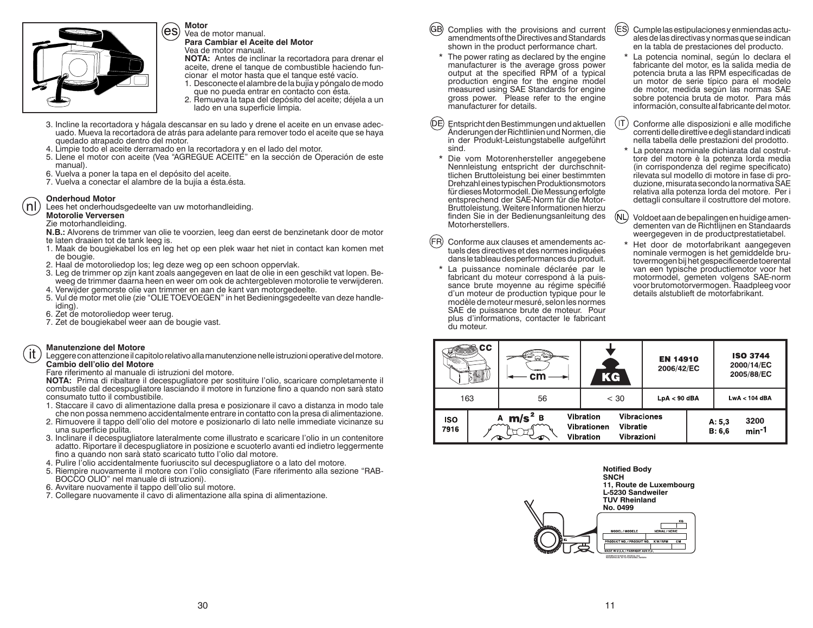

**Motor**Vea de motor manual.

**Para Cambiar el Aceite del Motor** Vea de motor manual.

 **NOTA:** Antes de inclinar la recortadora para drenar el aceite, drene el tanque de combustible haciendo fun-

- cionar el motor hasta que el tanque esté vacío. 1. Desconecte el alambre de la bujía y póngalo de modo que no pueda entrar en contacto con ésta.
- 2. Remueva la tapa del depósito del aceite; déjela a un lado en una superficie limpia.
- 3. Incline la recortadora y hágala descansar en su lado y drene el aceite en un envase adecuado. Mueva la recortadora de atrás para adelante para remover todo el aceite que se haya quedado atrapado dentro del motor.
- 4. Limpie todo el aceite derramado en la recortadora y en el lado del motor.
- 5. Llene el motor con aceite (Vea "AGREGUE ACEITE" en la sección de Operación de este manual).
- 6. Vuelva a poner la tapa en el depósito del aceite.
- 7. Vuelva a conectar el alambre de la bujía a ésta.ésta.

### **Onderhoud Motor**

(nl

-it

Lees het onderhoudsgedeelte van uw motorhandleiding.

**Motorolie Verversen**

Zie motorhandleiding.

- **N.B.:** Alvorens de trimmer van olie te voorzien, leeg dan eerst de benzinetank door de motor te laten draaien tot de tank leeg is.
- 1. Maak de bougiekabel los en leg het op een plek waar het niet in contact kan komen met de bougie.
- 2. Haal de motoroliedop los; leg deze weg op een schoon oppervlak.
- 3. Leg de trimmer op zijn kant zoals aangegeven en laat de olie in een geschikt vat lopen. Beweeg de trimmer daarna heen en weer om ook de achtergebleven motorolie te verwijderen.
- 4. Verwijder gemorste olie van trimmer en aan de kant van motorgedeelte.
- 5. Vul de motor met olie (zie "OLIE TOEVOEGEN" in het Bedieningsgedeelte van deze handleiding).
- 6. Zet de motoroliedop weer terug.
- 7. Zet de bougiekabel weer aan de bougie vast.

### **Manutenzione del Motore**

 Leggere con attenzione il capitolo relativo alla manutenzione nelle istruzioni operative del motore. **Cambio dell'olio del Motore**

### Fare riferimento al manuale di istruzioni del motore.

 **NOTA:** Prima di ribaltare il decespugliatore per sostituire l'olio, scaricare completamente il combustile dal decespugliatore lasciando il motore in funzione fino a quando non sarà stato consumato tutto il combustibile.

- 1. Staccare il cavo di alimentazione dalla presa e posizionare il cavo a distanza in modo tale che non possa nemmeno accidentalmente entrare in contatto con la presa di alimentazione.
- 2. Rimuovere il tappo dell'olio del motore e posizionarlo di lato nelle immediate vicinanze su una superficie pulita.
- 3. Inclinare il decespugliatore lateralmente come illustrato e scaricare l'olio in un contenitore adatto. Riportare il decespugliatore in posizione e scuoterlo avanti ed indietro leggermente fino a quando non sarà stato scaricato tutto l'olio dal motore.
- 4. Pulire l'olio accidentalmente fuoriuscito sul decespugliatore o a lato del motore.
- 5. Riempire nuovamente il motore con l'olio consigliato (Fare riferimento alla sezione "RAB-BOCCO OLIO" nel manuale di istruzioni).
- 6. Avvitare nuovamente il tappo dell'olio sul motore.
- 7. Collegare nuovamente il cavo di alimentazione alla spina di alimentazione.
- (GB) Complies with the provisions and current amendments of the Directives and Standards shown in the product performance chart.
- \* The power rating as declared by the engine manufacturer is the average gross power output at the specified RPM of a typical production engine for the engine model measured using SAE Standards for engine gross power. Please refer to the engine manufacturer for details.
- Entspricht den Bestimmungen und aktuellen Änderungen der Richtlinien und Normen, die in der Produkt-Leistungstabelle aufgeführt sind.
- \* Die vom Motorenhersteller angegebene Nennleistung entspricht der durchschnittlichen Bruttoleistung bei einer bestimmten Drehzahl eines typischen Produktionsmotors für dieses Motormodell. Die Messung erfolgte entsprechend der SAE-Norm für die Motor-Bruttoleistung. Weitere Informationen hierzu finden Sie in der Bedienungsanleitung des Motorherstellers.
- $(FR)$ Conforme aux clauses et amendements actuels des directives et des normes indiquées dans le tableau des performances du produit.
- \* La puissance nominale déclarée par le fabricant du moteur correspond à la puissance brute moyenne au régime spécifié d'un moteur de production typique pour le modèle de moteur mesuré, selon les normes SAE de puissance brute de moteur. Pour plus d'informations, contacter le fabricant du moteur.
- (ES) Cumple las estipulaciones y enmiendas actuales de las directivas y normas que se indican en la tabla de prestaciones del producto.
- La potencia nominal, según lo declara el fabricante del motor, es la salida media de potencia bruta a las RPM especificadas de un motor de serie típico para el modelo de motor, medida según las normas SAE sobre potencia bruta de motor. Para más información, consulte al fabricante del motor.
- $(\sf IT)$ Conforme alle disposizioni e alle modifiche correnti delle direttive e degli standard indicati nella tabella delle prestazioni del prodotto.
- La potenza nominale dichiarata dal costruttore del motore è la potenza lorda media (in corrispondenza del regime specificato) rilevata sul modello di motore in fase di produzione, misurata secondo la normativa SAE relativa alla potenza lorda del motore. Per i dettagli consultare il costruttore del motore.
- $(NL)$ Voldoet aan de bepalingen en huidige amendementen van de Richtlijnen en Standaards weergegeven in de productprestatietabel.
	- Het door de motorfabrikant aangegeven nominale vermogen is het gemiddelde brutovermogen bij het gespecificeerde toerental van een typische productiemotor voor het motormodel, gemeten volgens SAE-norm voor brutomotorvermogen. Raadpleeg voor details alstublieft de motorfabrikant.

|                               | CC. | ≪ਕੜੇ<br>ь<br>cm |                                                                                              | KG | <b>EN 14910</b><br>2006/42/EC |                                      | <b>ISO 3744</b><br>2000/14/EC<br>2005/88/EC |
|-------------------------------|-----|-----------------|----------------------------------------------------------------------------------------------|----|-------------------------------|--------------------------------------|---------------------------------------------|
| 163<br>56                     |     | $<$ 30          | $LpA < 90$ dBA                                                                               |    | $LwA < 104$ dBA               |                                      |                                             |
| $m/s^2 B$<br>А<br>ISO<br>7916 |     |                 | <b>Vibraciones</b><br><b>Vibration</b><br>Vibratie<br>Vibrationen<br>Vibrazioni<br>Vibration |    |                               | 3200<br>A: 5,3<br>$min-1$<br>B: 6, 6 |                                             |

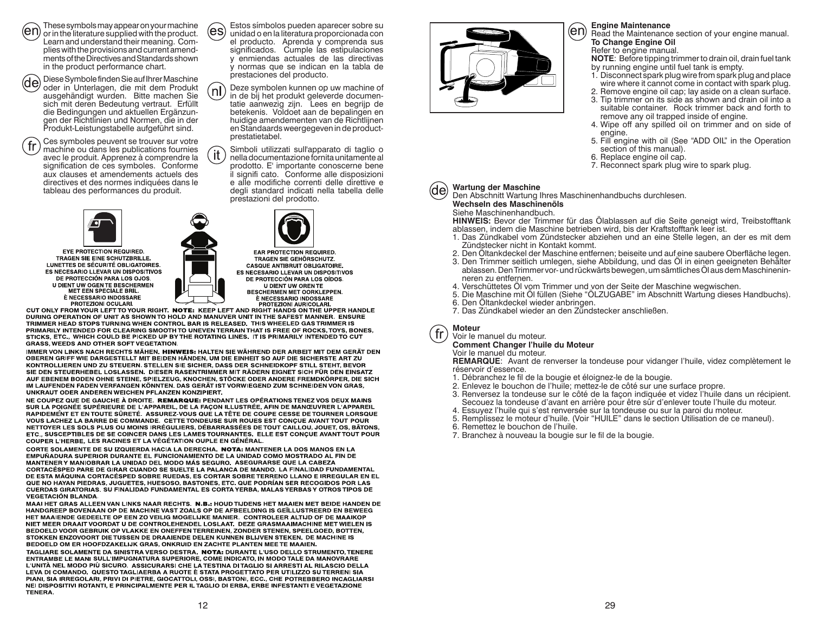These symbols may appear on your machine

or in the literature supplied with the product. Learn and understand their meaning. Complies with the provisions and current amendments of the Directives and Standards shown in the product performance chart.

Diese Symbole finden Sie auf Ihrer Maschine (de) oder in Unterlagen, die mit dem Produkt ausgehändigt wurden. Bitte machen Sie sich mit deren Bedeutung vertraut. Erfüllt die Bedingungen und aktuellen Ergänzungen der Richtlinien und Normen, die in der Produkt-Leistungstabelle aufgeführt sind.

Ces symboles peuvent se trouver sur votre  $\sqrt{\text{fr}}$ machine ou dans les publications fournies avec le produit. Apprenez à comprendre la signification de ces symboles. Conforme aux clauses et amendements actuels des directives et des normes indiquées dans le tableau des performances du produit.



**EYE PROTECTION REQUIRED. TRAGEN SIE EINE SCHUTZBRILLE.** LUNETTES DE SÉCURITÉ OBLIGATOIRES. ES NECESARIO LLEVAR UN DISPOSITIVOS DE PROTECCIÓN PARA LOS OJOS. **U DIENT UW OGEN TE BESCHERMEN MET EEN SPECIALE BRIL.** 



Deze symbolen kunnen op uw machine of (ท| in de bij het produkt geleverde documentatie aanwezig zijn. Lees en begrijp de betekenis. Voldoet aan de bepalingen en huidige amendementen van de Richtlijnen en Standaards weergegeven in de productprestatietabel.

Simboli utilizzati sull'apparato di taglio o ït nella documentazione fornita unitamente al prodotto. E' importante conoscerne bene il signifi cato. Conforme alle disposizioni e alle modifiche correnti delle direttive e degli standard indicati nella tabella delle prestazioni del prodotto.



EAR PROTECTION REQUIRED. TRAGEN SIE GEHÖRSCHUTZ. **CASQUE ANTIBRUIT OBLIGATOIRE.** ES NECESARIO LLEVAR UN DISPOSITIVOS DE PROTECCIÓN PARA LOS OÍDOS. U DIENT UW OREN TE<br>BESCHERMEN MET OORKLEPPEN.

E NECESSARIO INDOSSARE<br>PROTEZIONI OCULARILI DE LA ENECESSARIO INDOSSARE<br>CUT ONLY FROM YOUR LEFT TO YOUR RIGHT. NOTE: KEEP LEFT AND RIGHT HANDS ON THE UPPER HANDLE DURING OPERATION OF UNIT AS SHOWN TO HOLD AND MANUVER UNIT IN THE SAFEST MANNER. ENSURE TRIMMER HEAD STOPS TURNING WHEN CONTROL BAR IS RELEASED. THIS WHEELED GAS TRIMMER IS PRIMARILY INTENDED FOR CLEARING SMOOTH TO UNEVEN TERRAIN THAT IS FREE OF ROCKS, TOYS, BONES, STICKS, ETC., WHICH COULD BE PICKED UP BY THE ROTATING LINES. IT IS PRIMARILY INTENDED TO CUT **GRASS, WEEDS AND OTHER SOFT VEGETATION.** 

IMMER VON LINKS NACH RECHTS MÄHEN. HINWEIS: HALTEN SIE WÄHREND DER ARBEIT MIT DEM GERÄT DEN OBEREN GRIFF WIE DARGESTELLT MIT BEIDEN HÄNDEN, UM DIE EINHEIT SO AUF DIE SICHERSTE ART ZU KONTROLLIEREN UND ZU STEUERN. STELLEN SIE SICHER, DASS DER SCHNEIDKOPF STILL STEHT, BEVOR SIE DEN STEUERHEBEL LOSLASSEN. DIESER RASENTRIMMER MIT RÄDERN EIGNET SICH FÜR DEN EINSATZ AUF EBENEM BODEN OHNE STEINE, SPIELZEUG, KNOCHEN, STÖCKE ODER ANDERE FREMDKÖRPER, DIE SICH IM LAUFENDEN FADEN VERFANGEN KÖNNTEN. DAS GERÄT IST VORWIEGEND ZUM SCHNEIDEN VON GRAS, UNKRAUT ODER ANDEREN WEICHEN PFLANZEN KONZIPIERT.

NE COUPEZ QUE DE GAUCHE À DROITE. REMARQUE: PENDANT LES OPÉRATIONS TENEZ VOS DEUX MAINS NUR LA POIGNÉE SUPÉRIEURE DE L'APPAREIL, DE LA FAÇON ILLUSTRÉE, AFIN DE MANŒUVRER L'APPAREIL RAPIDEMENT ET EN TOUTE SÛRETÉ. ASSUREZ-VOUS QUE LA TÊTE DE COUPE CESSE DE TOURNER LORSQUE VOUS LACHEZ LA BARRE DE COMMANDE. CETTE TONDEUSE SUR ROUES EST CONCUE AVANT TOUT POUR NETTOYER LES SOLS PLUS OU MOINS IRRÉGULIERS, DÉBARRASSÉES DE TOUT CAILLOU, JOUET, OS, BÂTONS, NETC., SUSCEPTIBLES DE SE COINCER DANS LES LAMES TOURNANTES. ELLE EST CONÇUE AVANT TOUT POUR COUPER L'HERBE, LES RACINES ET LA VÉGÉTATION OUPLE EN GÉNÉRAL.

CORTE SOLAMENTE DE SU IZQUIERDA HACIA LA DERECHA. NOTA: MANTENER LA DOS MANOS EN LA EMPUÑADURA SUPERIOR DURANTE EL FUNCIONAMIENTO DE LA UNIDAD COMO MOSTRADO AL FIN DE MANTENER Y MANIOBRAR LA UNIDAD DEL MODO MÁS SEGURO. ASEGURARSE QUE LA CABEZA CORTACÉSPED PARE DE GIRAR CUANDO SE SUELTE LA PALANCA DE MANDO. LA FINALIDAD FUNDAMENTAL DE ESTA MÁQUINA CORTACÉSPED SOBRE RUEDAS, ES CORTAR SOBRE TERRENO LLANO E IRREGULAR EN EL QUE NO HAYAN PIEDRAS, JUGUETES, HUESOSO, BASTONES, ETC. QUE PODRÍAN SER RECOGIDOS POR LAS CUERDAS GIRATORIAS. SU FINALIDAD FUNDAMENTAL ES CORTA YERBA, MALAS YERBAS Y OTROS TIPOS DE **VEGETACIÓN BLANDA.** 

MAAI HET GRAS ALLEEN VAN LINKS NAAR RECHTS. N.B.: HOUD TIJDENS HET MAAIEN MET BEIDE HANDEN DE HANDGREEP BOVENAAN OP DE MACHINE VAST ZOALS OP DE AFBEELDING IS GEÏLLUSTREERD EN BEWEEG HET MAAIENDE GEDEELTE OP EEN ZO VEILIG MOGELIJKE MANIER. CONTROLEER ALTIJD OF DE MAAIKOP NIET MEER DRAAIT VOORDAT U DE CONTROLEHENDEL LOSLAAT. DEZE GRASMAAIMACHINE MET WIELEN IS BEDOELD VOOR GEBRUIK OP VLAKKE EN ONEFFEN TERREINEN, ZONDER STENEN, SPEELGOED, BOTTEN, STOKKEN ENZOVOORT DIE TUSSEN DE DRAAIENDE DELEN KUNNEN BLIJVEN STEKEN. DE MACHINE IS BEDOELD OM ER HOOFDZAKELIJK GRAS, ONKRUID EN ZACHTE PLANTEN MEE TE MAAIEN.

TAGLIARE SOLAMENTE DA SINISTRA VERSO DESTRA. NOTA: DURANTE L'USO DELLO STRUMENTO, TENERE ENTRAMBE LE MANI SULL'IMPUGNATURA SUPERIORE, COME INDICATO, IN MODO TALE DA MANOVRARE L'UNITÀ NEL MODO PIÙ SICURO. ASSICURARSI CHE LA TESTINA DI TAGLIO SI ARRESTI AL RILASCIO DELLA LEVA DI COMANDO. QUESTO TAGLIAERBA A RUOTE È STATA PROGETTATO PER UTILIZZO SU TERRENI SIA PIANI, SIA IRREGOLARI, PRIVI DI PIETRE, GIOCATTOLI, OSSI, BASTONI, ECC., CHE POTREBBERO INCAGLIARSI NEI DISPOSITIVI ROTANTI, E PRINCIPALMENTE PER IL TAGLIO DI ERBA, ERBE INFESTANTI E VEGETAZIONE TENERA.



### **Engine Maintenance**

Read the Maintenance section of your engine manual. **To Change Engine Oil**

# Refer to engine manual.

**NOTE**: Before tipping trimmer to drain oil, drain fuel tank by running engine until fuel tank is empty.

- 1. Disconnect spark plug wire from spark plug and place wire where it cannot come in contact with spark plug.
- 2. Remove engine oil cap; lay aside on a clean surface.
- 3. Tip trimmer on its side as shown and drain oil into a suitable container. Rock trimmer back and forth to remove any oil trapped inside of engine.
- 4. Wipe off any spilled oil on trimmer and on side of engine.
- 5. Fill engine with oil (See "ADD OIL" in the Operation section of this manual).
- 6. Replace engine oil cap.
- 7. Reconnect spark plug wire to spark plug.

(de

### **Wartung der Maschine**

Den Abschnitt Wartung Ihres Maschinenhandbuchs durchlesen.

**Wechseln des Maschinenöls**Siehe Maschinenhandbuch.

 **HINWEIS:** Bevor der Trimmer für das Ölablassen auf die Seite geneigt wird, Treibstofftank ablassen, indem die Maschine betrieben wird, bis der Kraftstofftank leer ist.

- 1. Das Zündkabel vom Zündstecker abziehen und an eine Stelle legen, an der es mit dem Zündstecker nicht in Kontakt kommt.
- 
- 2. Den Öltankdeckel der Maschine entfernen; beiseite und auf eine saubere Oberfläche legen.<br>3. Den Trimmer seitlich umlegen, siehe Abbildung, und das Öl in einen geeigneten Behälter<br>- ablassen. Den Trimmer vor- und rückwär neren zu entfernen.
- 4. Verschüttetes Öl vom Trimmer und von der Seite der Maschine wegwischen.
- 5. Die Maschine mit Öl füllen (Siehe "ÖLZUGABE" im Abschnitt Wartung dieses Handbuchs).<br>6. Den Öltankdeckel wieder anbringen.
- 
- 7. Das Zündkabel wieder an den Zündstecker anschließen.

**Moteur**fr

Voir le manuel du moteur.

**Comment Changer l'huile du Moteur**

Voir le manuel du moteur.

 **REMARQUE**: Avant de renverser la tondeuse pour vidanger l'huile, videz complètement le réservoir d'essence.

- 1. Débranchez le fil de la bougie et éloignez-le de la bougie.
- 2. Enlevez le bouchon de l'huile; mettez-le de côté sur une surface propre.
- 3. Renversez la tondeuse sur le côté de la façon indiquée et videz l'huile dans un récipient. Secouez la tondeuse d'avant en arrière pour être sûr d'enlever toute l'huile du moteur.
- 4. Essuyez l'huile qui s'est renversée sur la tondeuse ou sur la paroi du moteur.
- 5. Remplissez le moteur d'huile. (Voir "HUILE" dans le section Utilisation de ce maneul).
- 6. Remettez le bouchon de l'huile.
- 7. Branchez à nouveau la bougie sur le fil de la bougie.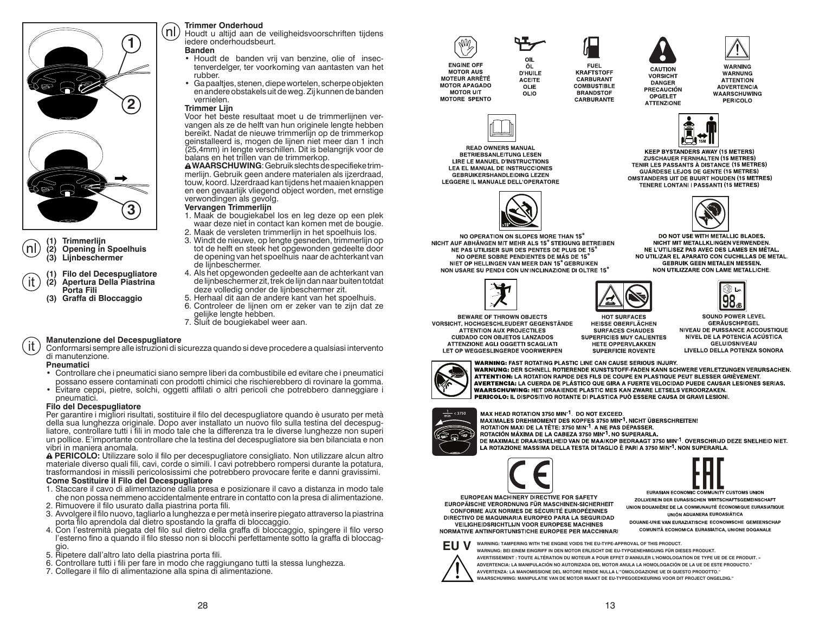

**(1) Trimmerlijn**

**(2) Opening in Spoelhuis (3) Lijnbeschermer**

- **(1) Filo del Decespugliatore (2) Apertura Della Piastrina Porta Fili**
- **(3) Graffa di Bloccaggio**

### **Trimmer Onderhoud**

 Houdt u altijd aan de veiligheidsvoorschriften tijdens iedere onderhoudsbeurt.

### **Banden**

- Houdt de banden vrij van benzine, olie of insectenverdelger, ter voorkoming van aantasten van het rubber.
- Ga paaltjes, stenen, diepe wortelen, scherpe objekten en andere obstakels uit de weg. Zij kunnen de banden vernielen.

### **Trimmer Lijn**

Voor het beste resultaat moet u de trimmerlijnen vervangen als ze de helft van hun originele lengte hebben bereikt. Nadat de nieuwe trimmerlijn op de trimmerkop geinstalleerd is, mogen de lijnen niet meer dan 1 inch (25,4mm) in lengte verschillen. Dit is belangrijk voor de balans en het trillen van de trimmerkop.

 **WAARSCHUWING**: Gebruik slechts de specifieke trimmerlijn. Gebruik geen andere materialen als ijzerdraad, touw, koord. IJzerdraad kan tijdens het maaien knappen en een gevaarlijk vliegend object worden, met ernstige verwondingen als gevolg.

### **Vervangen Trimmerlijn**

- 1. Maak de bougiekabel los en leg deze op een plek waar deze niet in contact kan komen met de bougie.
- 2. Maak de versleten trimmerlijn in het spoelhuis los.
- 3. Windt de nieuwe, op lengte gesneden, trimmerlijn op tot de helft en steek het opgewonden gedeelte door de opening van het spoelhuis naar de achterkant van de lijnbeschermer.
- 4. Als het opgewonden gedeelte aan de achterkant van de lijnbeschermer zit, trek de lijn dan naar buiten totdat deze volledig onder de lijnbeschermer zit.
- 5. Herhaal dit aan de andere kant van het spoelhuis.
- 6. Controleer de lijnen om er zeker van te zijn dat ze gelijke lengte hebben.
- 7. Sluit de bougiekabel weer aan.

### **Manutenzione del Decespugliatore** it.

Conformarsi sempre alle istruzioni di sicurezza quando si deve procedere a qualsiasi intervento di manutenzione.

### **Pneumatici**

- Controllare che i pneumatici siano sempre liberi da combustibile ed evitare che i pneumatici possano essere contaminati con prodotti chimici che rischierebbero di rovinare la gomma.
- Evitare ceppi, pietre, solchi, oggetti affilati o altri pericoli che potrebbero danneggiare i pneumatici.

### **Filo del Decespugliatore**

Per garantire i migliori risultati, sostituire il filo del decespugliatore quando è usurato per metà della sua lunghezza originale. Dopo aver installato un nuovo filo sulla testina del decespugliatore, controllare tutti i fili in modo tale che la differenza tra le diverse lunghezze non superi un pollice. E'importante controllare che la testina del decespugliatore sia ben bilanciata e non vibri in maniera anomala.

  **PERICOLO:** Utilizzare solo il filo per decespugliatore consigliato. Non utilizzare alcun altro materiale diverso quali fili, cavi, corde o simili. I cavi potrebbero rompersi durante la potatura, trasformandosi in missili pericolosissimi che potrebbero provocare ferite e danni gravissimi. **Come Sostituire il Filo del Decespugliatore**

- 1. Staccare il cavo di alimentazione dalla presa e posizionare il cavo a distanza in modo tale che non possa nemmeno accidentalmente entrare in contatto con la presa di alimentazione. 2. Rimuovere il filo usurato dalla piastrina porta fili.
- 3. Avvolgere il filo nuovo, tagliarlo a lunghezza e per metà inserire piegato attraverso la piastrina porta filo aprendola dal dietro spostando la graffa di bloccaggio.
- 4. Con l'estremità piegata del filo sul dietro della graffa di bloccaggio, spingere il filo verso l'esterno fino a quando il filo stesso non si blocchi perfettamente sotto la graffa di bloccaggio.
- 5. Ripetere dall'altro lato della piastrina porta fili.
- 6. Controllare tutti i fili per fare in modo che raggiungano tutti la stessa lunghezza.
- 7. Collegare il filo di alimentazione alla spina di alimentazione.



**READ OWNERS MANUAL** 

**BETRIEBSANLEITUNG LESEN** 

LIRE LE MANUEL D'INSTRUCTIONS

**LEA EL MANUAL DE INSTRUCCIONES** 

GEBRUIKERSHANDLEIDING LEZEN

LEGGERE IL MANUALE DELL'OPERATORE

**MOTOR AUS** 

**MOTEUR ARRÊTÉ** 

**MOTOR APAGADO** 

**MOTOR UIT** 

**MOTORE SPENTO** 





**FUEL KRAFTSTOFF CARBURANT COMBUSTIBLE BRANDSTOF CARRURANTE** 



**CAUTION** 

**VORSICHT** 

**DANGER** 

OPGELET

**ATTENZIONE** 

WARNING WARNUNG **ATTENTION ADVERTENCIA WAARSCHUWING** PERICOLO



**KEEP BYSTANDERS AWAY (15 METERS)** ZUSCHAUER FERNHALTEN (15 METRES) TENIR LES PASSANTS À DISTANCE (15 METRES) **GUÁRDESE LEJOS DE GENTE (15 METRES) OMSTANDERS UIT DE BUURT HOUDEN (15 METRES)** TENERE LONTANI I PASSANTI (15 METRES)



DO NOT USE WITH METALLIC BLADES. NICHT MIT METALLKLINGEN VERWENDEN. NE L'UTILISEZ PAS AVEC DES LAMES EN MÉTAL. NO UTILIZAR EL APARATO CON CUCHILLAS DE METAL. GEBRUIK GEEN METALEN MESSEN. NON UTILIZZARE CON LAME METALLICHE.



NO OPERATION ON SLOPES MORE THAN 15°

NICHT AUF ABHÄNGEN MIT MEHR ALS 15° STEIGUNG BETREIBEN

NE PAS UTILISER SUR DES PENTES DE PLUS DE 15°

NO OPERE SOBRE PENDIENTES DE MÁS DE 15°

NIET OP HELLINGEN VAN MEER DAN 15° GEBRUIKEN

NON USARE SU PENDII CON UN'INCLINAZIONE DI OLTRE 15°



HOT SURFACES **HEISSE OBERFLÄCHEN SURFACES CHAUDES SUPERFICIES MUY CALIENTES** HETE OPPERVLAKKEN **SUPERFICIE ROVENTE** 

**SOUND POWER LEVEL GERÄUSCHPEGEL** NIVEAU DE PUISSANCE ACCOUSTIQUE NÍVEL DE LA POTENCIA ACÚSTICA **GELUIDSNIVEAU** LIVELLO DELLA POTENZA SONORA

**WARNING: FAST ROTATING PLASTIC LINE CAN CAUSE SERIOUS INJURY.** WARNUNG: DER SCHNELL ROTIERENDE KUNSTSTOFF-FADEN KANN SCHWERE VERLETZUNGEN VERURSACHEN. ATTENTION: LA ROTATION RAPIDE DES FILS DE COUPE EN PLASTIQUE PEUT BLESSER GRIÈVEMENT. AVERTENCIA: LA CUERDA DE PLÁSTICO QUE GIRA A FUERTE VELOCIDAD PUEDE CAUSAR LESIONES SERIAS. **WAARSCHUWING: HET DRAAIENDE PLASTIC MES KAN ZWARE LETSELS VEROORZAKEN.** PERICOLO: IL DISPOSITIVO ROTANTE DI PLASTICA PUÒ ESSERE CAUSA DI GRAVI LESIONI.



MAX HEAD ROTATION 3750 MIN<sup>-1</sup>. DO NOT EXCEED. MAXIMALES DREHMOMENT DES KOPFES 3750 MIN<sup>-1</sup>. NICHT ÜBERSCHREITEN! **ROTATION MAXI DE LA TÊTE: 3750 MIN <sup>1</sup> A NE PAS DÉPASSER.** ROTACIÓN MÁXIMA DE LA CABEZA 3750 MIN<sup>-1</sup>. NO SUPERARLA. DE MAXIMALE DRAAISNELHEID VAN DE MAAIKOP BEDRAAGT 3750 MIN<sup>-1</sup>. OVERSCHRIJD DEZE SNELHEID NIET. LA ROTAZIONE MASSIMA DELLA TESTA DI TAGLIO È PARI A 3750 MIN<sup>-1</sup>. NON SUPERARLA.





EUROPEAN MACHINERY DIRECTIVE FOR SAFETY EUROPÄISCHE VERORDNUNG FÜR MASCHINEN-SICHERHEIT **CONFORME AUX NORMES DE SÉCURITÉ EUROPÉENNES** DIRECTIVO DE MAQUINARIA EUROPEO PARA LA SEGURIDAD VEILIGHEIDSRICHTLIJN VOOR EUROPESE MACHINES

ZOLLVEREIN DER EURASISCHEN WIRTSCHAFTSGEMEINSCHAFT UNION DOUANIÈRE DE LA COMMUNAUTÉ ÉCONOMIQUE EURASIATIQUE UNIÓN ADUANERA EUROASIÁTICA DOUANE-UNIE VAN EURAZIATISCHE ECONOMISCHE GEMEENSCHAP COMUNITÀ ECONOMICA EURASIATICA, UNIONE DOGANALE

NORMATIVE ANTINFORTUNISTICHE EUROPEE PER MACCHINARI



**WARNING: TAMPERING WITH THE ENGINE VOIDS THE EU-TYPE-APPROVAL OF THIS PRODUCT. WARNUNG: BEI EINEM EINGRIFF IN DEN MOTOR ERLISCHT DIE EU-TYPGENEHMIGUNG FÜR DIESES PRODUKT. AVERTISSEMENT : TOUTE ALTÉRATION DU MOTEUR A POUR EFFET D'ANNULER L'HOMOLOGATION DE TYPE UE DE CE PRODUIT. »ADVERTENCIA: LA MANIPULACIÓN NO AUTORIZADA DEL MOTOR ANULA LA HOMOLOGACIÓN DE LA UE DE ESTE PRODUCTO."AVVERTENZA: LA MANOMISSIONE DEL MOTORE RENDE NULLA L'"OMOLOGAZIONE UE DI QUESTO PRODOTTO."WAARSCHUWING: MANIPULATIE VAN DE MOTOR MAAKT DE EU-TYPEGOEDKEURING VOOR DIT PROJECT ONGELDIG."**



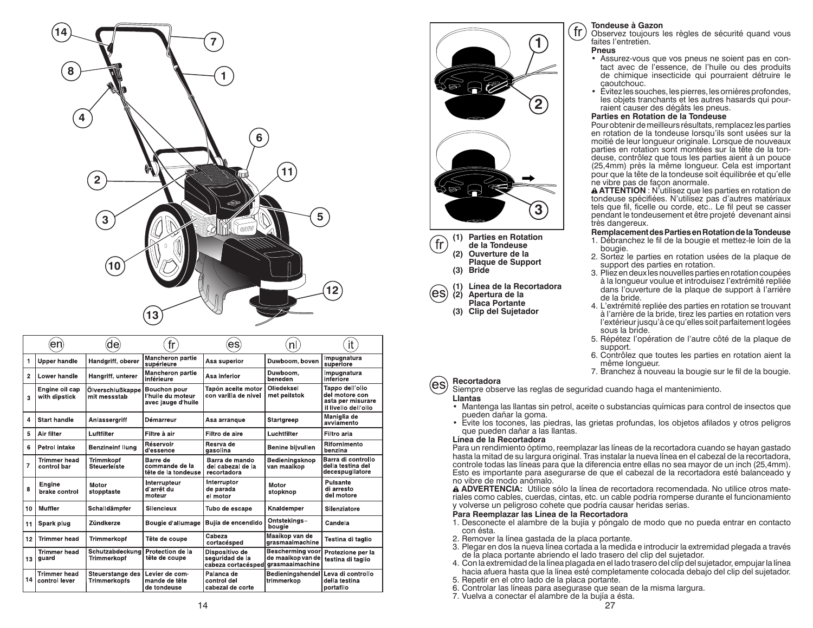

|                | de<br>en                             |                                         | fr                                                      | es                                                      | nl                                                       | it                                                                             |
|----------------|--------------------------------------|-----------------------------------------|---------------------------------------------------------|---------------------------------------------------------|----------------------------------------------------------|--------------------------------------------------------------------------------|
| 1              | <b>Upper handle</b>                  | Handgriff, oberer                       | <b>Mancheron partie</b><br>supérieure                   | Asa superior                                            | Duwboom, boven                                           | Impugnatura<br>superiore                                                       |
| $\overline{2}$ | Lower handle                         | Hangriff, unterer                       | <b>Mancheron partie</b><br>inférieure                   | Asa inferior                                            | Duwboom,<br>beneden                                      | Impugnatura<br>inferiore                                                       |
| 3              | Engine oil cap<br>with dipstick      | Ölverschlußkappe<br>mit messstab        | Bouchon pour<br>I huile du moteur<br>avec jauge d'huile | Tapón aceite motor<br>con varilla de nivel              | Oliedeksel<br>met peilstok                               | Tappo dell'olio<br>del motore con<br>asta per misurare<br>il livello dell'olio |
| 4              | <b>Start handle</b>                  | Anlassergriff                           | Démarreur                                               | Asa arrangue                                            | Startgreep                                               | Maniglia de<br>avviamento                                                      |
| 5              | Air filter                           | Luftfilter                              | Filtre à air                                            | Filtro de aire                                          | Luchtfilter                                              | Filtro aria                                                                    |
| 6              | <b>Petrol intake</b>                 | <b>Benzineinf Ilung</b>                 | Réservoir<br>d'essence                                  | Resrva de<br>qasolina                                   | Benine bijvullen                                         | Rifornimento<br>benzina                                                        |
| 7              | <b>Trimmer head</b><br>control bar   | Trimmkopf<br>Steuerleiste               | Barre de<br>commande de la<br>tête de la tondeuse       | Barra de mando<br>del cabezal de la<br>recortadora      | Bedieningsknop<br>van maaikop                            | Barra di controllo<br>della testina del<br>decespugliatore                     |
| 8              | Engine<br>brake control              | Motor<br>stopptaste                     | Interrupteur<br>d'arrêt du<br>moteur                    | Interruptor<br>de parada<br>el motor                    | Motor<br>stopknop                                        | Pulsante<br>di arresto<br>del motore                                           |
| 10             | Muffler                              | Schalldämpfer                           | Silencieux                                              | Tubo de escape                                          | Knaldemper                                               | Silenziatore                                                                   |
| 11             | Spark plug                           | Zündkerze                               | Bougie d'allumage                                       | Buiía de encendido                                      | Ontstekings-<br>bougie                                   | Candela                                                                        |
| 12             | <b>Trimmer head</b>                  | Trimmerkopf                             | Tête de coupe                                           | Cabeza<br>cortacésped                                   | Maaikop van de<br>grasmaaimachine                        | Testina di taglio                                                              |
| 13             | <b>Trimmer head</b><br>guard         | Schutzabdeckung<br><b>Trimmerkopf</b>   | Protection de la<br>tête de coupe                       | Dispositivo de<br>seguridad de la<br>cabeza cortacésped | Bescherming voor<br>de maaikop van de<br>grasmaaimachine | Protezione per la<br>testina di taglio                                         |
| 14             | <b>Trimmer head</b><br>control lever | Steuerstange des<br><b>Trimmerkopfs</b> | Levier de com-<br>mande de tête<br>de tondeuse          | Palanca de<br>control del<br>cabezal de corte           | Bedieningshendel<br>trimmerkop                           | Leva di controllo<br>della testina<br>portafilo                                |



 $\overline{\text{fr}}$  **de la Tondeuse (2) Ouverture de la Plaque de Support (3) Bride**

> **(1) Línea de la Recortadora (2) Apertura de la Placa Portante(3) Clip del Sujetador**

### **Tondeuse à Gazon**

 Observez toujours les règles de sécurité quand vous faites l'entretien.

### **Pneus**

fr:

- Assurez-vous que vos pneus ne soient pas en contact avec de l'essence, de l'huile ou des produits de chimique insecticide qui pourraient détruire le caoutchouc.
- Évitez les souches, les pierres, les ornières profondes, les objets tranchants et les autres hasards qui pourraient causer des dégâts les pneus.

### **Parties en Rotation de la Tondeuse**

 Pour obtenir de meilleurs résultats, remplacez les parties en rotation de la tondeuse lorsqu'ils sont usées sur la moitié de leur longueur originale. Lorsque de nouveaux parties en rotation sont montées sur la tête de la tondeuse, contrôlez que tous les parties aient à un pouce (25,4mm) près la même longueur. Cela est important pour que la tête de la tondeuse soit équilibrée et qu'elle ne vibre pas de façon anormale.

 **ATTENTION** : N'utilisez que les parties en rotation de tondeuse spécifiées. N'utilisez pas d'autres matériaux tels que fil, ficelle ou corde, etc.. Le fil peut se casser pendant le tondeusement et être projeté devenant ainsi très dangereux.

### **Remplacement des Parties en Rotation de la Tondeuse**

- 1. Débranchez le fil de la bougie et mettez-le loin de la bougie.
- 2. Sortez le parties en rotation usées de la plaque de support des parties en rotation.
- 3. Pliez en deux les nouvelles parties en rotation coupées à la longueur voulue et introduisez l'extrémité repliée dans l'ouverture de la plaque de support à l'arrière de la bride.
- 4. L'extrémité repliée des parties en rotation se trouvant à l'arrière de la bride, tirez les parties en rotation vers l'extérieur jusqu'à ce qu'elles soit parfaitement logées sous la bride.
- 5. Répétez l'opération de l'autre côté de la plaque de support.
- 6. Contrôlez que toutes les parties en rotation aient la même longueur.
- 7. Branchez à nouveau la bougie sur le fil de la bougie.

### **Recortadora**

Siempre observe las reglas de seguridad cuando haga el mantenimiento.

### **Llantas**

(es

(es)

- Mantenga las llantas sin petrol, aceite o substancias químicas para control de insectos que pueden dañar la goma.
- Evite los tocones, las piedras, las grietas profundas, los objetos afilados y otros peligros que pueden dañar a las llantas.

### **Línea de la Recortadora**

 Para un rendimiento óptimo, reemplazar las líneas de la recortadora cuando se hayan gastado hasta la mitad de su largura original. Tras instalar la nueva línea en el cabezal de la recortadora, controle todas las líneas para que la diferencia entre ellas no sea mayor de un inch (25,4mm). Esto es importante para asegurarse de que el cabezal de la recortadora esté balanceado y no vibre de modo anómalo.

  **ADVERTENCIA:** Utilice sólo la línea de recortadora recomendada. No utilice otros materiales como cables, cuerdas, cintas, etc. un cable podría romperse durante el funcionamiento y volverse un peligroso cohete que podría causar heridas serias.

### **Para Reemplazar las Línea de la Recortadora**

- 1. Desconecte el alambre de la bujía y póngalo de modo que no pueda entrar en contacto con ésta.
- 2. Remover la línea gastada de la placa portante.
- 3. Plegar en dos la nueva línea cortada a la medida e introducir la extremidad plegada a través de la placa portante abriendo el lado trasero del clip del sujetador.
- 4. Con la extremidad de la línea plagada en el lado trasero del clip del sujetador, empujar la línea hacia afuera hasta que la línea esté completamente colocada debajo del clip del sujetador.

5. Repetir en el otro lado de la placa portante.

- 6. Controlar las líneas para asegurase que sean de la misma largura.
- 7. Vuelva a conectar el alambre de la bujía a ésta.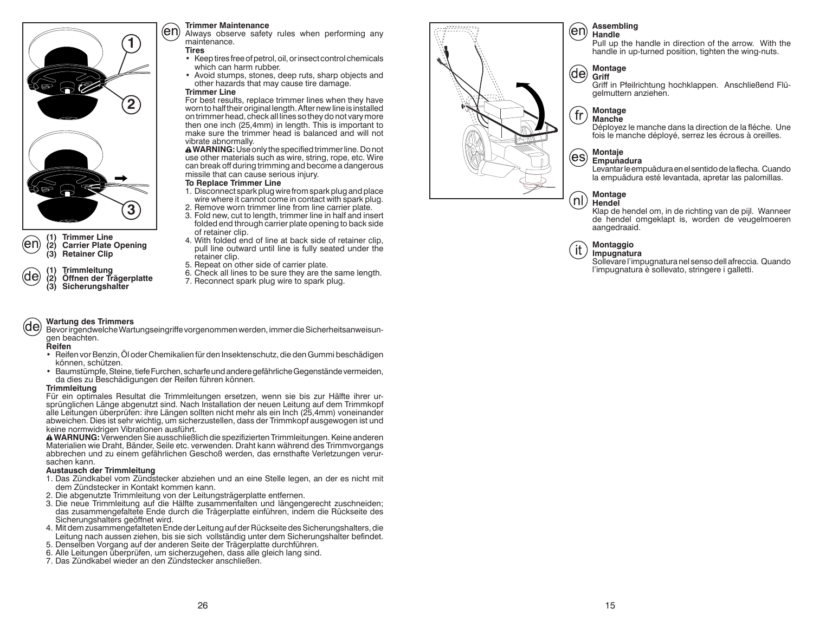

# **(1) Trimmer Line** (en **(2) Carrier Plate Opening**

**(1) Trimmleitung (2) Öffnen der Trägerplatte (3) Sicherungshalter**

### **Trimmer Maintenance**

(en Always observe safety rules when performing any maintenance.

### **Tires**

- Keep tires free of petrol, oil, or insect control chemicals which can harm rubber.
- Avoid stumps, stones, deep ruts, sharp objects and other hazards that may cause tire damage.

### **Trimmer Line**

 For best results, replace trimmer lines when they have worn to half their original length. After new line is installed on trimmer head, check all lines so they do not vary more then one inch (25,4mm) in length. This is important to make sure the trimmer head is balanced and will not vibrate abnormally.

**A WARNING:** Use only the specified trimmer line. Do not use other materials such as wire, string, rope, etc. Wire can break off during trimming and become a dangerous missile that can cause serious injury.

### **To Replace Trimmer Line**

- 1. Disconnect spark plug wire from spark plug and place wire where it cannot come in contact with spark plug.
- 2. Remove worn trimmer line from line carrier plate. 3. Fold new, cut to length, trimmer line in half and insert
- folded end through carrier plate opening to back side of retainer clip.
- 4. With folded end of line at back side of retainer clip, pull line outward until line is fully seated under the retainer clip.
- 5. Repeat on other side of carrier plate.
- 6. Check all lines to be sure they are the same length.
- 7. Reconnect spark plug wire to spark plug.

### **Wartung des Trimmers** (de)

Bevor irgendwelche Wartungseingriffe vorgenommen werden, immer die Sicherheitsanweisungen beachten.

**Reifen**

(de

- Reifen vor Benzin, Öl oder Chemikalien für den Insektenschutz, die den Gummi beschädigen können, schützen.
- Baumstümpfe, Steine, tiefe Furchen, scharfe und andere gefährliche Gegenstände vermeiden, da dies zu Beschädigungen der Reifen führen können.

### **Trimmleitung**

Für ein optimales Resultat die Trimmleitungen ersetzen, wenn sie bis zur Hälfte ihrer ursprünglichen Länge abgenutzt sind. Nach Installation der neuen Leitung auf dem Trimmkopf alle Leitungen überprüfen: ihre Längen sollten nicht mehr als ein Inch (25,4mm) voneinander abweichen. Dies ist sehr wichtig, um sicherzustellen, dass der Trimmkopf ausgewogen ist und keine normwidrigen Vibrationen ausführt.

 **WARNUNG:** Verwenden Sie ausschließlich die spezifizierten Trimmleitungen. Keine anderen Materialien wie Draht, Bänder, Seile etc. verwenden. Draht kann während des Trimmvorgangs abbrechen und zu einem gefährlichen Geschoß werden, das ernsthafte Verletzungen verursachen kann.

### **Austausch der Trimmleitung**

- 1. Das Zündkabel vom Zündstecker abziehen und an eine Stelle legen, an der es nicht mit dem Zündstecker in Kontakt kommen kann.
- 2. Die abgenutzte Trimmleitung von der Leitungsträgerplatte entfernen.
- 3. Die neue Trimmleitung auf die Hälfte zusammenfalten und längengerecht zuschneiden; das zusammengefaltete Ende durch die Trägerplatte einführen, indem die Rückseite des Sicherungshalters geöffnet wird.
- 4. Mit dem zusammengefalteten Ende der Leitung auf der Rückseite des Sicherungshalters, die Leitung nach aussen ziehen, bis sie sich vollständig unter dem Sicherungshalter befindet.
- 5. Denselben Vorgang auf der anderen Seite der Trägerplatte durchführen.
- 6. Alle Leitungen überprüfen, um sicherzugehen, dass alle gleich lang sind.
- 7. Das Zündkabel wieder an den Zündstecker anschließen.



### **Assembling Handle**

 Pull up the handle in direction of the arrow. With the handle in up-turned position, tighten the wing-nuts.



### Griff in Pfeilrichtung hochklappen. Anschließend Flügelmuttern anziehen.

### **Montage Manche**

 Déployez le manche dans la direction de la fléche. Une fois le manche déployé, serrez les écrous à oreilles.

# **Montaje**

**Empuñadura**

Levantar le empuãdura en el sentido de la flecha. Cuando la empuãdura esté levantada, apretar las palomillas.

### **Montage** (nl) **Hendel**

Klap de hendel om, in de richting van de pijl. Wanneer de hendel omgeklapt is, worden de veugelmoeren aangedraaid.

### **Montaggio** it. **Impugnatura**

Sollevare l'impugnatura nel senso dell afreccia. Quando l'impugnatura è sollevato, stringere i galletti.

**(3) Retainer Clip**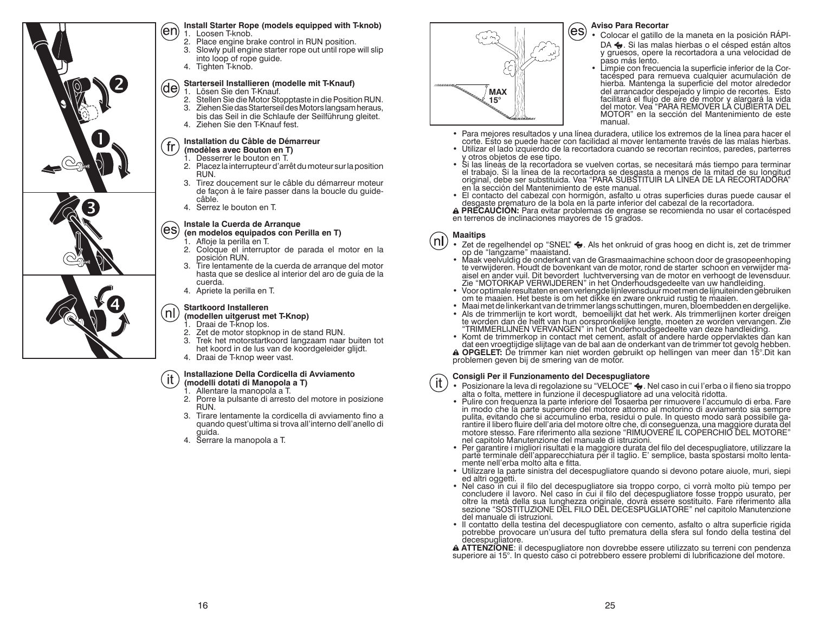

### **Install Starter Rope (models equipped with T-knob)** (en) 1. Loosen T-knob.

- 2. Place engine brake control in RUN position.
- 3. Slowly pull engine starter rope out until rope will slip
- into loop of rope guide.
- 4. Tighten T-knob.

### **Starterseil Installieren (modelle mit T-Knauf)**  $(de)$

- 1. Lösen Sie den T-Knauf.
- 2. Stellen Sie die Motor Stopptaste in die Position RUN.
- 3. Ziehen Sie das Starterseil des Motors langsam heraus, bis das Seil in die Schlaufe der Seilführung gleitet.
- 4. Ziehen Sie den T-Knauf fest.

### **Installation du Câble de Démarreur** fr **(modèles avec Bouton en T)**

- Desserrer le bouton en T.
- 2. Placez la interrupteur d'arrêt du moteur sur la position RUN.
- 3. Tirez doucement sur le câble du démarreur moteur de façon à le faire passer dans la boucle du guidecâble.
- 4. Serrez le bouton en T.

### **Instale la Cuerda de Arranque**

### (es **(en modelos equipados con Perilla en T)**

- 1. Afloje la perilla en T.
- 2. Coloque el interruptor de parada el motor en la posición RUN.
- 3. Tire lentamente de la cuerda de arranque del motor hasta que se deslice al interior del aro de guía de la cuerda.
- 4. Apriete la perilla en T.

### **Startkoord Installeren** (nl

### **(modellen uitgerust met T-Knop)**

- 1. Draai de T-knop los.<br>2. Zet de motor stopkn
- 2. Zet de motor stopknop in de stand RUN.
- 3. Trek het motorstartkoord langzaam naar buiten tot het koord in de lus van de koordgeleider glijdt.
- 4. Draai de T-knop weer vast.

### **Installazione Della Cordicella di Avviamento**-it

### **(modelli dotati di Manopola a T)** 1. Allentare la manopola a T.

- 2. Porre la pulsante di arresto del motore in posizione RUN.
- 3. Tirare lentamente la cordicella di avviamento fino a quando quest'ultima si trova all'interno dell'anello di guida.
- 4. Serrare la manopola a T.



### **Aviso Para Recortar**

- Colocar el gatillo de la maneta en la posición RÁPI-DA  $\bigodot$ . Si las malas hierbas o el césped están altos y gruesos, opere la recortadora a una velocidad de
- paso más lento.<br>• Limpie con frecuencia la superficie inferior de la Cor-<br>tacésped para remueva cualquier acumulación de<br>hierba. Mantenga la superficie del motor alrededor<br>del arrancador despejado y limpio de recortes. Est facilitará el flujo de aire de motor y alargará la vida del motor. Vea "PARA REMOVER LA CUBIERTA DEL MOTOR" en la sección del Mantenimiento de este manual.
- Para mejores resultados y una línea duradera, utilice los extremos de la línea para hacer el corte. Esto se puede hacer con facilidad al mover lentamente través de las malas hierbas.
- Utilizar el lado izquierdo de la recortadora cuando se recortan recintos, paredes, parterres
- · Si las líneás de la recortadora se vuelven cortas, se necesitará más tiempo para terminar<br>el trabajo. Si la línea de la recortadora se desgasta a menos de la mitad de su longitud<br>original, debe ser substituida. Vea "PARA
- · El contacto del cabezal con hormigón, asfalto u otras superficies duras puede causar el desgaste prematuro de la bola en la parte inferior del cabezal de la recortadora.<br>A PRECAUCIÓN: Para evitar problemas de engrase se recomienda no usar el cortacésped
- en terrenos de inclinaciones mayores de 15 grados.

### **Maaitips** nl.

- Zet de regelhendel op "SNEL" . Als het onkruid of gras hoog en dicht is, zet de trimmer op de "langzame" maaistand. Maak veelvuldig de onderkant van de Grasmaaimachine schoon door de grasopeenhoping
- te verwijderen. Houdt de bovenkant van de motor, rond de starter schoon en verwijder ma-<br>aisel en ander vuil. Dit bevordert luchtverversing van de motor en verhoogt de levensduur. Zie "MOTORKAP VERWIJDEREN" in het Onderhoudsgedeelte van uw handleiding.
- Voor optimale resultaten en een verlengde lijnlevensduur moet men de lijnuiteinden gebruiken om te maaien. Het beste is om het dikke en zware onkruid rustig te maaien.
- Maai met de linkerkant van de trimmer langs schuttingen, muren, bloembedden en dergelijke.
- re worden dan de helft van hun oorspronkelijke lengte, moeten ze worden vervangen. Zie<br>"TRIMMERLIJNEN VERVANGEN" in het Onderhoudsgedeelte van deze handleiding.<br>• Komt de trimmerkop in contact met cement, asfalt of andere

**A OPGELET:** De trimmer kan niet worden gebruikt op hellingen van meer dan 15°.Dit kan problemen geven bij de smering van de motor.

### **Consigli Per il Funzionamento del Decespugliatore** it.

- Posizionare la leva di regolazione su "VELOCE" ◆. Nel caso in cui l'erba o il fieno sia troppo<br>alta o folta, mettere in funzione il decespugliatore ad una velocità ridotta.<br>Pulire con frequenza la parte inferiore del Tosa
- pulita, evitando che si accumulino erba, residui o pule. In questo modo sarà possibile garantire il libero fluire dell'aria del motore oltre che, di conseguenza, una maggiore durata del motore stesso. Fare riferimento alla
- Per garantire i migliori risultati e la maggiore durata del filo del decespugliatore, utilizzare la parte terminale dell'apparecchiatura per il taglio. E' semplice, basta spostarsi molto lentamente nell'erba molto alta e fitta.
- Utilizzare la parte sinistra del decespugliatore quando si devono potare aiuole, muri, siepi
- Nel caso in cui il filo del decespugliatore sia troppo corpo, ci vorrà molto più tempo per<br>concludere il lavoro. Nel caso in cui il filo del decespugliatore fosse troppo usurato, per<br>oltre la metà della sua lunghezza ori del manuale di istruzioni.
- · Il contatto della testina del decespugliatore con cemento, asfalto o altra superficie rigida potrebbe provocare un'usura del tutto prematura della sfera sul fondo della testina della potrebbe provocare un'usura del tutto prematura del tutto prematura del tutto prematura del tutto prematura sul fondo della testina

decespugliatore. **ATTENZIONE**: il decespugliatore non dovrebbe essere utilizzato su terreni con pendenza superiore ai 15°. In questo caso ci potrebbero essere problemi di lubrificazione del motore.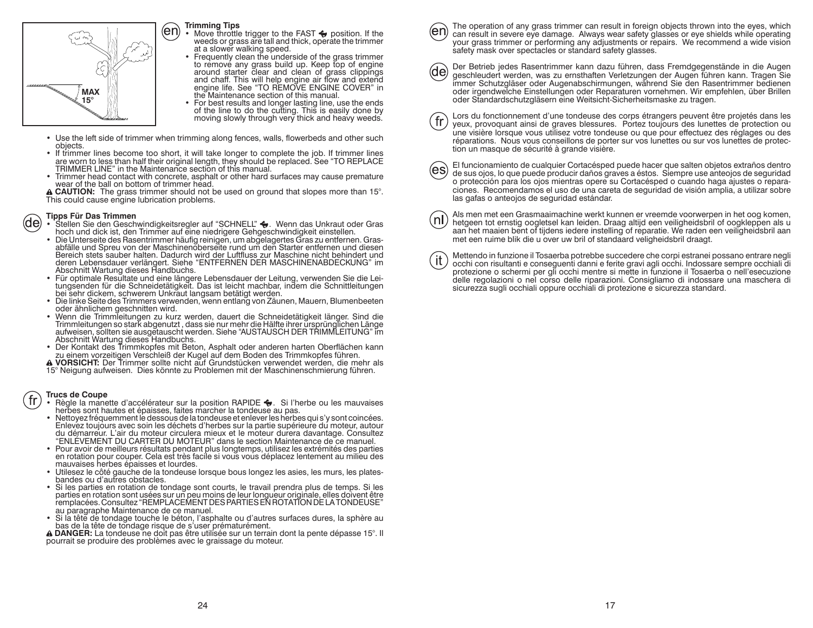

### **Trimming Tips**

- Move throttle trigger to the FAST  $\leftrightarrow$  position. If the weeds or grass are tall and thick, operate the trimmer
- at a slower walking speed.<br>
 Frequently clean the underside of the grass trimmer<br>
to remove any grass build up. Keep top of engine<br>
around starter clear and clean of grass clippings<br>
and chaff. This will help engine air f
- the Maintenance section of this manual.<br>• For best results and longer lasting line, use the ends of the line to do the cutting. This is easily done by moving slowly through very thick and heavy weeds.
- Use the left side of trimmer when trimming along fences, walls, flowerbeds and other such
- If trimmer lines become too short, it will take longer to complete the job. If trimmer lines are worn to less than half their original length, they should be replaced. See "TO REPLACE TRIMMER LINE" in the Maintenance sec
- Trimmer head contact with concrete, asphalt or other hard surfaces may cause premature wear of the ball on bottom of trimmer head.
- **CAUTION:** The grass trimmer should not be used on ground that slopes more than 15°. This could cause engine lubrication problems.

- **Tipps Für Das Trimmen**<br>▪ Stellen Sie den Geschwindigkeitsregler auf "SCHNELL" **↔**. Wenn das Unkraut oder Gras (de)
	- hoch und dick ist, den Trimmer auf eine niedrigere Gehgeschwindigkeit einstellen.<br>• Die Unterseite des Rasentrimmer häufig reinigen, um abgelagertes Gras zu entfernen. Gras-<br>abfälle und Spreu von der Maschinenoberseite run deren Lebensdauer verlängert. Siehe "ENTFERNEN DER MASCHINENABDECKUNG" im
	-
	-
	- Abschnitt Wartung dieses Handbuchs.<br>
	 Für optimale Resultate und eine längere Lebensdauer der Leitung, verwenden Sie die Leitungsenden für die Schniedetätigkeit. Das ist leicht machabar, indem die Schnittleitungen<br>
	bei se
	- Der Kontakt des Trimmkopfes mit Beton, Asphalt oder anderen harten Oberflächen kann zu einem vorzeitigen Verschleiß der Kugel auf dem Boden des Trimmkopfes führen.<br>A VORSICHT: Der Trimmer sollte nicht auf Grundstücken ve
	- 15° Neigung aufweisen. Dies könnte zu Problemen mit der Maschinenschmierung führen.

# fr.

- **Trucs de Coupe**<br>• Règle la manette d'accélérateur sur la position RAPIDE ♦. Si l'herbe ou les mauvaises
- herbes sont hautes et épaisses, faites marcher la tondeuse au pas.<br>Nettoyez fréquemment le dessous de la tondeuse et enlever les herbes qui s'y sont coincées.<br>Enlevez toujours avec soin les déchets d'herbes sur la partie s
- "ENLÉVEMENT DU CARTER DU MOTEUR" dans le section Maintenance de ce manuel.<br>Pour avoir de meilleurs résultats pendant plus longtemps, utilisez les extrémités des parties en rotation pour couper. Cela est très facile si vous vous déplacez lentement au milieu des<br>mauvaises herbes épaisses et lourdes.<br>• Utilesez le côté gauche de la tondeuse lorsque bous longez les asies, les murs, les plates
- bandes ou d'autres obstacles.
- Si les parties en rotation de tondage sont courts, le travail prendra plus de temps. Si les parties en rotation sont usées sur un peu moins de leur longueur originale, elles doivent être<br>remplacées. Consultez "REMPLACEMENT DES PARTIES EN ROTATION DE LA TONDEUSE"<br>au paragraphe Maintenance de ce manuel.
- 

Si la tête de tondage touche le béton, l'asphalte ou d'autres surfaces dures, la sphère au<br> **A DANGER:** La tondage risque de s'user prématurément.<br> **A DANGER: L**a tondeuse ne doit pas être utilisée sur un terrain dont la p

The operation of any grass trimmer can result in foreign objects thrown into the eyes, which

- (en) can result in severe eye damage. Always wear safety glasses or eye shields while operating your grass trimmer or performing any adjustments or repairs. We recommend a wide vision safety mask over spectacles or standard safety glasses.
- Der Betrieb jedes Rasentrimmer kann dazu führen, dass Fremdgegenstände in die Augen geschleudert werden, was zu ernsthaften Verletzungen der Augen führen kann. Tragen Sie immer Schutzgläser oder Augenabschirmungen, während Sie den Rasentrimmer bedienen oder irgendwelche Einstellungen oder Reparaturen vornehmen. Wir empfehlen, über Brillen oder Standardschutzgläsern eine Weitsicht-Sicherheitsmaske zu tragen.
- Lors du fonctionnement d'une tondeuse des corps étrangers peuvent être projetés dans les yeux, provoquant ainsi de graves blessures. Portez toujours des lunettes de protection ou une visière lorsque vous utilisez votre tondeuse ou que pour effectuez des réglages ou des réparations. Nous vous conseillons de porter sur vos lunettes ou sur vos lunettes de protection un masque de sécurité à grande visière.
- 

(es

 $\langle \mathsf{n} \mathsf{l} \rangle$ 

El funcionamiento de cualquier Cortacésped puede hacer que salten objetos extraños dentro de sus ojos, lo que puede producir daños graves a éstos. Siempre use anteojos de seguridad o protección para los ojos mientras opere su Cortacésped o cuando haga ajustes o reparaciones. Recomendamos el uso de una careta de seguridad de visión amplia, a utilizar sobre las gafas o anteojos de seguridad estándar.

- Als men met een Grasmaaimachine werkt kunnen er vreemde voorwerpen in het oog komen, hetgeen tot ernstig oogletsel kan leiden. Draag altijd een veiligheidsbril of oogkleppen als u aan het maaien bent of tijdens iedere instelling of reparatie. We raden een veiligheidsbril aan met een ruime blik die u over uw bril of standaard veligheidsbril draagt.
- Mettendo in funzione il Tosaerba potrebbe succedere che corpi estranei possano entrare negli , it occhi con risultanti e conseguenti danni e ferite gravi agli occhi. Indossare sempre occhiali di protezione o schermi per gli occhi mentre si mette in funzione il Tosaerba o nell'esecuzione delle regolazioni o nel corso delle riparazioni. Consigliamo di indossare una maschera di sicurezza sugli occhiali oppure occhiali di protezione e sicurezza standard.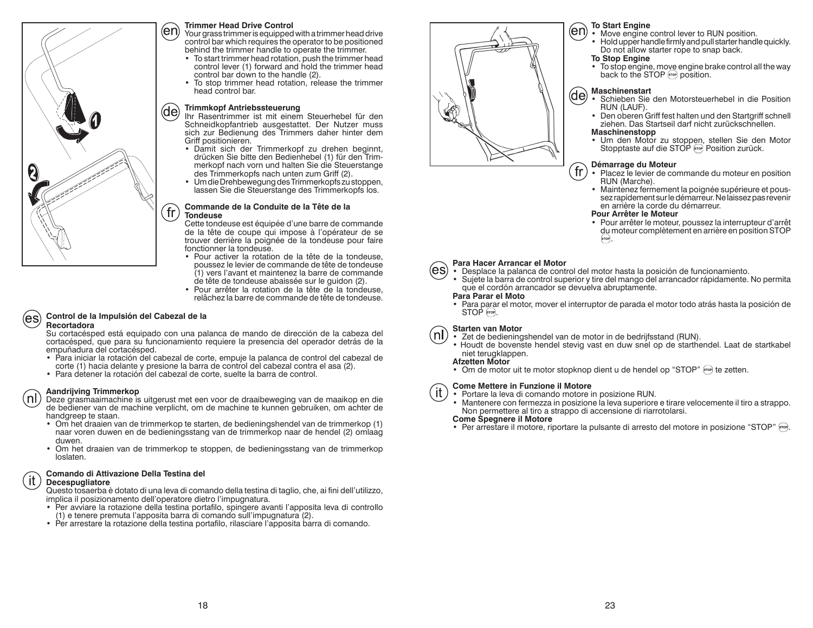

### **Trimmer Head Drive Control**

 Your grass trimmer is equipped with a trimmer head drive control bar which requires the operator to be positioned behind the trimmer handle to operate the trimmer.

- To start trimmer head rotation, push the trimmer head control lever (1) forward and hold the trimmer head control bar down to the handle (2).
- To stop trimmer head rotation, release the trimmer head control bar.

### **Trimmkopf Antriebssteuerung**

Ihr Rasentrimmer ist mit einem Steuerhebel für den Schneidkopfantrieb ausgestattet. Der Nutzer muss sich zur Bedienung des Trimmers daher hinter dem Griff positionieren.

- Damit sich der Trimmerkopf zu drehen beginnt, drücken Sie bitte den Bedienhebel (1) für den Trimmerkopf nach vorn und halten Sie die Steuerstange des Trimmerkopfs nach unten zum Griff (2).
- Um die Drehbewegung des Trimmerkopfs zu stoppen, lassen Sie die Steuerstange des Trimmerkopfs los.

### **Commande de la Conduite de la Tête de laTondeuse**

 Cette tondeuse est équipée d'une barre de commande de la tête de coupe qui impose à l'opérateur de se trouver derrière la poignée de la tondeuse pour faire fonctionner la tondeuse.

- Pour activer la rotation de la tête de la tondeuse, poussez le levier de commande de tête de tondeuse (1) vers l'avant et maintenez la barre de commande de tête de tondeuse abaissée sur le guidon (2).
- Pour arrêter la rotation de la tête de la tondeuse, relâchez la barre de commande de tête de tondeuse.

### **Control de la Impulsión del Cabezal de la** les **Recortadora**

 Su cortacésped está equipado con una palanca de mando de dirección de la cabeza del cortacésped, que para su funcionamiento requiere la presencia del operador detrás de la empuñadura del cortacésped.

- Para iniciar la rotación del cabezal de corte, empuje la palanca de control del cabezal de corte (1) hacia delante y presione la barra de control del cabezal contra el asa (2).
- Para detener la rotación del cabezal de corte, suelte la barra de control.

### **Aandrijving Trimmerkop**

nl. Deze grasmaaimachine is uitgerust met een voor de draaibeweging van de maaikop en die de bediener van de machine verplicht, om de machine te kunnen gebruiken, om achter de handgreep te staan.

- Om het draaien van de trimmerkop te starten, de bedieningshendel van de trimmerkop (1) naar voren duwen en de bedieningsstang van de trimmerkop naar de hendel (2) omlaag duwen.
- Om het draaien van de trimmerkop te stoppen, de bedieningsstang van de trimmerkop loslaten.

### **Comando di Attivazione Della Testina del** it. **Decespugliatore**

Questo tosaerba è dotato di una leva di comando della testina di taglio, che, ai fini dell'utilizzo, implica il posizionamento dell'operatore dietro l'impugnatura.

- Per avviare la rotazione della testina portafilo, spingere avanti l'apposita leva di controllo (1) e tenere premuta l'apposita barra di comando sull'impugnatura (2).
- Per arrestare la rotazione della testina portafilo, rilasciare l'apposita barra di comando.



### **To Start Engine**

- Move engine control lever to RUN position.
- Hold upper handle firmly and pull starter handle quickly. Do not allow starter rope to snap back.

### **To Stop Engine**

• To stop engine, move engine brake control all the way back to the STOP stop position.

### **Maschinenstart**

- Schieben Sie den Motorsteuerhebel in die Position RUN (LAUF).
- Den oberen Griff fest halten und den Startgriff schnell ziehen. Das Startseil darf nicht zurückschnellen.

### **Maschinenstopp**

• Um den Motor zu stoppen, stellen Sie den Motor Stopptaste auf die STOP <sub>800</sub> Position zurück.

### **Démarrage du Moteur**

- Placez le levier de commande du moteur en position RUN (Marche).
- Maintenez fermement la poignée supérieure et poussez rapidement sur le démarreur. Ne laissez pas revenir en arrière la corde du démarreur.

### **Pour Arrêter le Moteur**

 • Pour arrêter le moteur, poussez la interrupteur d'arrêt du moteur complètement en arrière en position STOP<br>.



### **Para Hacer Arrancar el Motor**

- Desplace la palanca de control del motor hasta la posición de funcionamiento. • Sujete la barra de control superior y tire del mango del arrancador rápidamente. No permita
	- que el cordón arrancador se devuelva abruptamente.

### **Para Parar el Moto**

• Para parar el motor, mover el interruptor de parada el motor todo atrás hasta la posición de  $STOP$   $STOP$ .

### **Starten van Motor**

- nl) • Zet de bedieningshendel van de motor in de bedrijfsstand (RUN).
	- Houdt de bovenste hendel stevig vast en duw snel op de starthendel. Laat de startkabel niet terugklappen.

### **Afzetten Motor**

• Om de motor uit te motor stopknop dient u de hendel op "STOP" (TOP) te zetten.

### **Come Mettere in Funzione il Motore** it.

• Portare la leva di comando motore in posizione RUN.

• Mantenere con fermezza in posizione la leva superiore e tirare velocemente il tiro a strappo. Non permettere al tiro a strappo di accensione di riarrotolarsi.

**Come Spegnere il Motore**

• Per arrestare il motore, riportare la pulsante di arresto del motore in posizione "STOP" [609].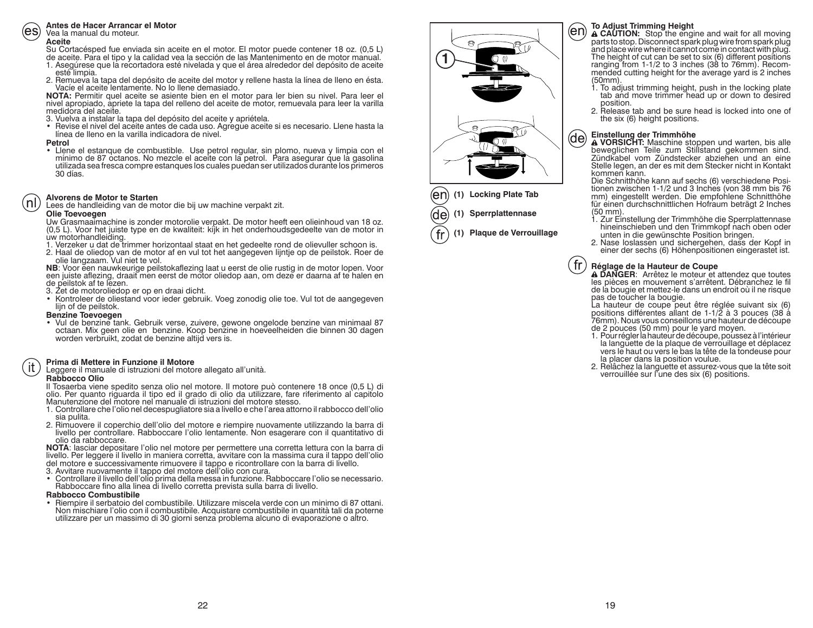### **Antes de Hacer Arrancar el Motor**

### Vea la manual du moteur.

### **Aceite**

Su Cortacésped fue enviada sin aceite en el motor. El motor puede contener 18 oz. (0,5 L)

- de aceite. Para el tipo y la calidad vea la sección de las Mantenimento en de motor manual.<br>1. Asegúrese que la recortadora esté nivelada y que el área alrededor del depósito de aceite<br>1. Esté limpia.<br>2. Remueva la tapa de
- 

 **NOTA:** Permitir quel aceite se asiente bien en el motor para ler bien su nivel. Para leer el nivel apropiado, apriete la tapa del relleno del aceite de motor, remuevala para leer la varilla medidora del aceite.

- 3. Vuelva a instalar la tapa del depósito del aceite y apriétela.
- Revise el nivel del aceite antes de cada uso. Agregue aceite si es necesario. Llene hasta la línea de lleno en la varilla indicadora de nivel.

### **Petrol**

• Llene el estanque de combustible. Use petrol regular, sin plomo, nueva y limpia con el<br>mínimo de 87 octanos. No mezcle el aceite con la petrol. Para asegurar que la gasolina<br>utilizado sea fresca compre estanques los cual

### **Alvorens de Motor te Starten**nl.

Lees de handleiding van de motor die bij uw machine verpakt zit.

**Olie Toevoegen**<br>Uw Grasmaaimachine is zonder motorolie verpakt. De motor heeft een olieinhoud van 18 oz. (0,5 L). Voor het juiste type en de kwaliteit: kijk in het onderhoudsgedeelte van de motor in uw motorhandleiding.<br>1. Verzeker u dat de trimmer horizontaal staat en het gedeelte rond de olievuller schoon is.

- 
- 2. Haal de oliedop van de motor af en vul tot het aangegeven lijntje op de peilstok. Roer de

olie langzaam. Vul niet te vol.<br>NB: Voor een nauwkeurige peilstokaflezing laat u eerst de olie rustig in de motor lopen. Voor een juiste aflezing, draait men eerst de motor oliedop aan, om deze er daarna af te halen en<br>de peilstok af te lezen.

- 3. Zet de motoroliedop er op en draai dicht.
- Kontroleer de oliestand voor ieder gebruik. Voeg zonodig olie toe. Vul tot de aangegeven<br>lijn of de peilstok.<br>Benzine Toevoegen

**Benzine Toevoegen** • Vul de benzine tank. Gebruik verse, zuivere, gewone ongelode benzine van minimaal 87 octaan. Mix geen olie en benzine. Koop benzine in hoeveelheiden die binnen 30 dagen worden verbruikt, zodat de benzine altijd vers is.

### **Prima di Mettere in Funzione il Motore**it

Leggere il manuale di istruzioni del motore allegato all'unità.

### **Rabbocco Olio**

Il Tosaerba viene spedito senza olio nel motore. Il motore può contenere 18 once (0,5 L) di olio. Per quanto riguarda il tipo ed il grado di olio da utilizzare, fare riferimento al capitolo Manutenzione del motore nel manuale di istruzioni del motore stesso.

- 1. Controllare che l'olio nel decespugliatore sia a livello e che l'area attorno il rabbocco dell'olio sia pulita.
- 2. Rimuovere il coperchio dell'olio del motore e riempire nuovamente utilizzando la barra di livello per controllare. Rabboccare l'olio lentamente. Non esagerare con il quantitativo di olio da rabboccare.

 **NOTA**: lasciar depositare l'olio nel motore per permettere una corretta lettura con la barra di livello. Per leggere il livello in maniera corretta, avvitare con la massima cura il tappo dell'olio del motore e successivamente rimuovere il tappo e ricontrollare con la barra di livello.<br>3. Avvitare nuovamente il tappo del motore dell'olio con cura.

- 
- Controllare il livello dell'olio prima della messa in funzione. Rabboccare l'olio se necessario.<br>Rabboccare fino alla linea di livello corretta prevista sulla barra di livello.

### **Rabbocco Combustibile**

· Riempire il serbatoio del combustibile. Utilizzare miscela verde con un minimo di 87 ottani. Non mischiare l'olio con il combustibile. Acquistare combustibile in quantità tali da poterne utilizzare per un massimo di 30 giorni senza problema alcuno di evaporazione o altro.





**(1) Plaque de Verrouillage**

(en)

(de)

- **To Adjust Trimming Height ACAUTION:** Stop the engine and wait for all moving parts to stop. Disconnect spark plug and place wire where it cannot come in contact with plug. The height of cut can be set to six (6) different positions<br>ranging from 1-1/2 to 3 inches (38 to 76mm). Recom-<br>mended cutting height for the average yard is 2 inches<br>(50mm).
- 1. To adjust trimming height, push in the locking plate tab and move trimmer head up or down to desired
- 2. Release tab and be sure head is locked into one of the six (6) height positions.

**Einstellung der Trimmhöhe VORSICHT:** Maschine stoppen und warten, bis alle **AVORSICHT:** Maschine stoppen und warten, bis alle zum Stillstand gekommen sind. Zündkabel vom Zündstecker abziehen und an eine Stelle legen, an der es mit dem Stecker nicht in Kontakt kommen kann.

Die Schnitthöhe kann auf sechs (6) verschiedene Positionen zwischen 1-1/2 und 3 Inches (von 38 mm bis 76 mm) eingestellt werden. Die empfohlene Schnitthöhe für einen durchschnittlichen Hofraum beträgt 2 Inches (50 mm).<br>1. Zur Einstellung der Trimmhöhe die Sperrplattennase h

- 
- 2. Nase loslassen und sichergehen, dass der Kopf in einer der sechs (6) Höhenpositionen eingerastet ist.

### $\mathop{\text{fr}}$

**Réglage de la Hauteur de Coupe <br>
A DANGER**: Arrêtez le moteur et attendez que toutes<br>
les pièces en mouvement s'arrêtent. Débranchez le fil<br>
de la bougie et mettez-le dans un endroit où il ne risque<br>
pas de toucher la bou

La hauteur de coupe peut être réglée suivant six (6) positions différentes allant de 1-1/2 à 3 pouces (38 à 76mm). Nous vous conseillons une hauteur de découpe de 2 pouces (50 mm) pour le yard moyen.

- 1. Pour régler la hauteur de découpe, poussez à l'intérieur<br>la languette de la plaque de verrouillage et déplacez<br>vers le haut ou vers le bas la tête de la tondeuse pour<br>la placer dans la position voulue.
- 2. Relâchez la languette et assurez-vous que la tête soit verrouillée sur l'une des six (6) positions.

19